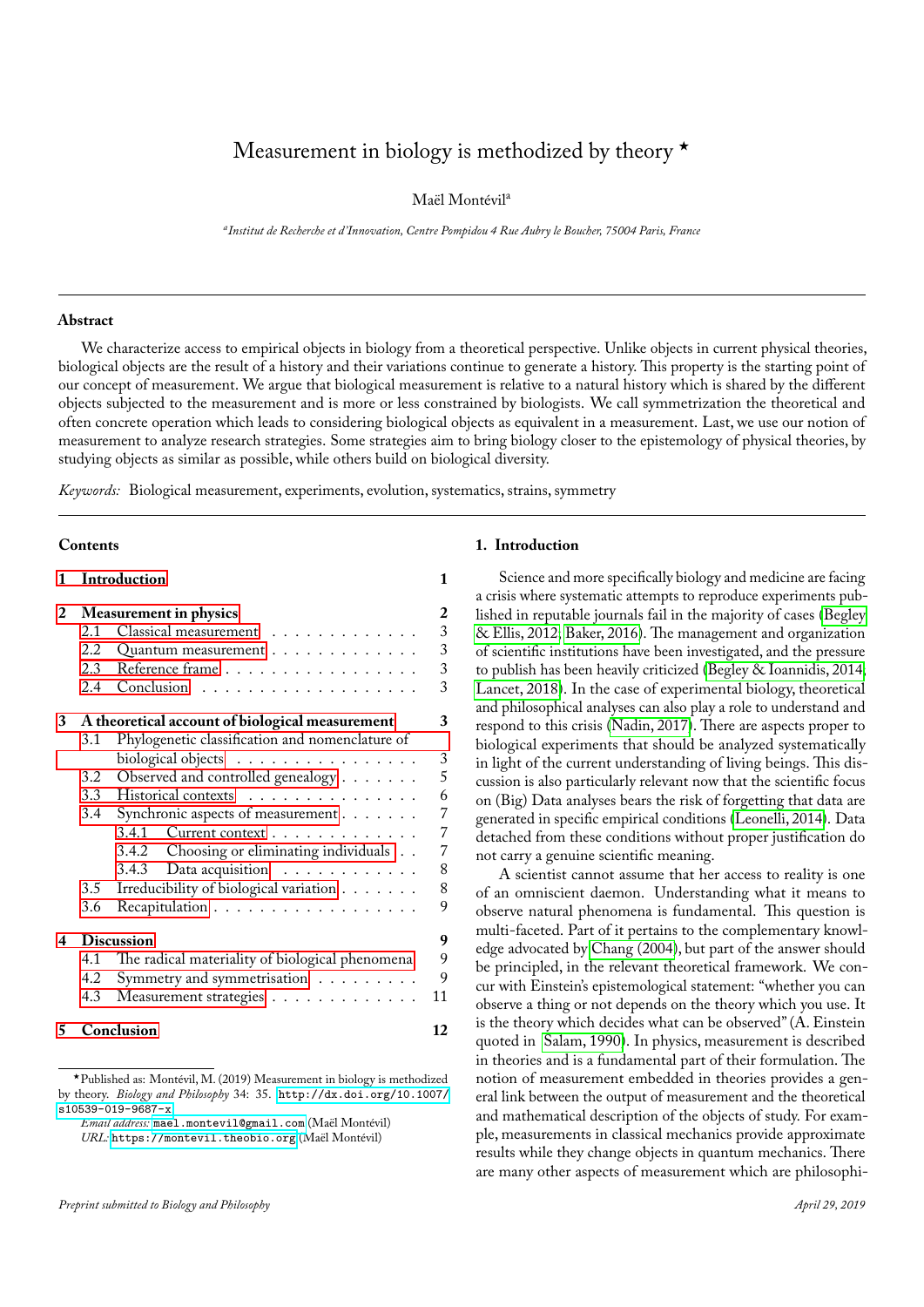# Measurement in biology is methodized by theory  $\star$

Maël Montévil<sup>a</sup>

*a Institut de Recherche et d'Innovation, Centre Pompidou 4 Rue Aubry le Boucher, 75004 Paris, France*

## **Abstract**

We characterize access to empirical objects in biology from a theoretical perspective. Unlike objects in current physical theories, biological objects are the result of a history and their variations continue to generate a history. This property is the starting point of our concept of measurement. We argue that biological measurement is relative to a natural history which is shared by the different objects subjected to the measurement and is more or less constrained by biologists. We call symmetrization the theoretical and often concrete operation which leads to considering biological objects as equivalent in a measurement. Last, we use our notion of measurement to analyze research strategies. Some strategies aim to bring biology closer to the epistemology of physical theories, by studying objects as similar as possible, while others build on biological diversity.

*Keywords:* Biological measurement, experiments, evolution, systematics, strains, symmetry

# **Contents**

| 1 |               | <b>Introduction</b>                                                                                         | 1  |
|---|---------------|-------------------------------------------------------------------------------------------------------------|----|
| 2 |               | <b>Measurement in physics</b>                                                                               | 2  |
|   | 2.1           | Classical measurement                                                                                       | 3  |
|   | 2.2.          | Quantum measurement                                                                                         | 3  |
|   | 2.3           | Reference frame                                                                                             | 3  |
|   | 2.4           | $Conclusion \rightarrow \ldots \rightarrow \ldots \rightarrow \ldots \rightarrow \ldots \rightarrow \ldots$ | 3  |
| 3 |               | A theoretical account of biological measurement                                                             | 3  |
|   | 3.1           | Phylogenetic classification and nomenclature of                                                             |    |
|   |               | biological objects                                                                                          | 3  |
|   | 3.2           | Observed and controlled genealogy                                                                           | 5  |
|   |               | 3.3 Historical contexts                                                                                     | 6  |
|   | 3.4           | Synchronic aspects of measurement                                                                           | 7  |
|   |               | Current context<br>341                                                                                      | 7  |
|   |               | Choosing or eliminating individuals<br>3.4.2                                                                | 7  |
|   |               | Data acquisition $\ldots \ldots \ldots \ldots$<br>3.4.3                                                     | 8  |
|   | $3.5^{\circ}$ | Irreducibility of biological variation                                                                      | 8  |
|   | 3.6           | Recapitulation                                                                                              | 9  |
| 4 |               | <b>Discussion</b>                                                                                           | 9  |
|   | 4.1           | The radical materiality of biological phenomena                                                             | 9  |
|   | 4.2           | Symmetry and symmetrisation                                                                                 | 9  |
|   | 4.3           | Measurement strategies                                                                                      | 11 |
| 5 |               | Conclusion                                                                                                  | 12 |

<sup>⋆</sup>Published as: Montévil, M. (2019) Measurement in biology is methodized by theory. *Biology and Philosophy* 34: 35. [http://dx.doi.org/10.1007/](http://dx.doi.org/10.1007/s10539-019-9687-x)  $s10539 - 019 - 9687 - x$ .

*Email address:* [mael.montevil@gmail.com](mailto:mael.montevil@gmail.com) (Maël Montévil) *URL:* <https://montevil.theobio.org> (Maël Montévil)

#### <span id="page-0-0"></span>**1. Introduction**

Science and more specifically biology and medicine are facing a crisis where systematic attempts to reproduce experiments published in reputable journals fail in the majority of cases [\(Begley](#page-12-0) [& Ellis, 2012;](#page-12-0) [Baker, 2016\)](#page-12-1). The management and organization of scientific institutions have been investigated, and the pressure to publish has been heavily criticized [\(Begley & Ioannidis, 2014;](#page-12-2) [Lancet, 2018\)](#page-12-3). In the case of experimental biology, theoretical and philosophical analyses can also play a role to understand and respond to this crisis [\(Nadin, 2017\)](#page-13-0). There are aspects proper to biological experiments that should be analyzed systematically in light of the current understanding of living beings. This discussion is also particularly relevant now that the scientific focus on (Big) Data analyses bears the risk of forgetting that data are generated in specific empirical conditions [\(Leonelli, 2014\)](#page-12-4). Data detached from these conditions without proper justification do not carry a genuine scientific meaning.

A scientist cannot assume that her access to reality is one of an omniscient daemon. Understanding what it means to observe natural phenomena is fundamental. This question is multi-faceted. Part of it pertains to the complementary knowledge advocated by [Chang \(2004\)](#page-12-5), but part of the answer should be principled, in the relevant theoretical framework. We concur with Einstein's epistemological statement: "whether you can observe a thing or not depends on the theory which you use. It is the theory which decides what can be observed" (A. Einstein quoted in [Salam, 1990\)](#page-13-1). In physics, measurement is described in theories and is a fundamental part of their formulation. The notion of measurement embedded in theories provides a general link between the output of measurement and the theoretical and mathematical description of the objects of study. For example, measurements in classical mechanics provide approximate results while they change objects in quantum mechanics. There are many other aspects of measurement which are philosophi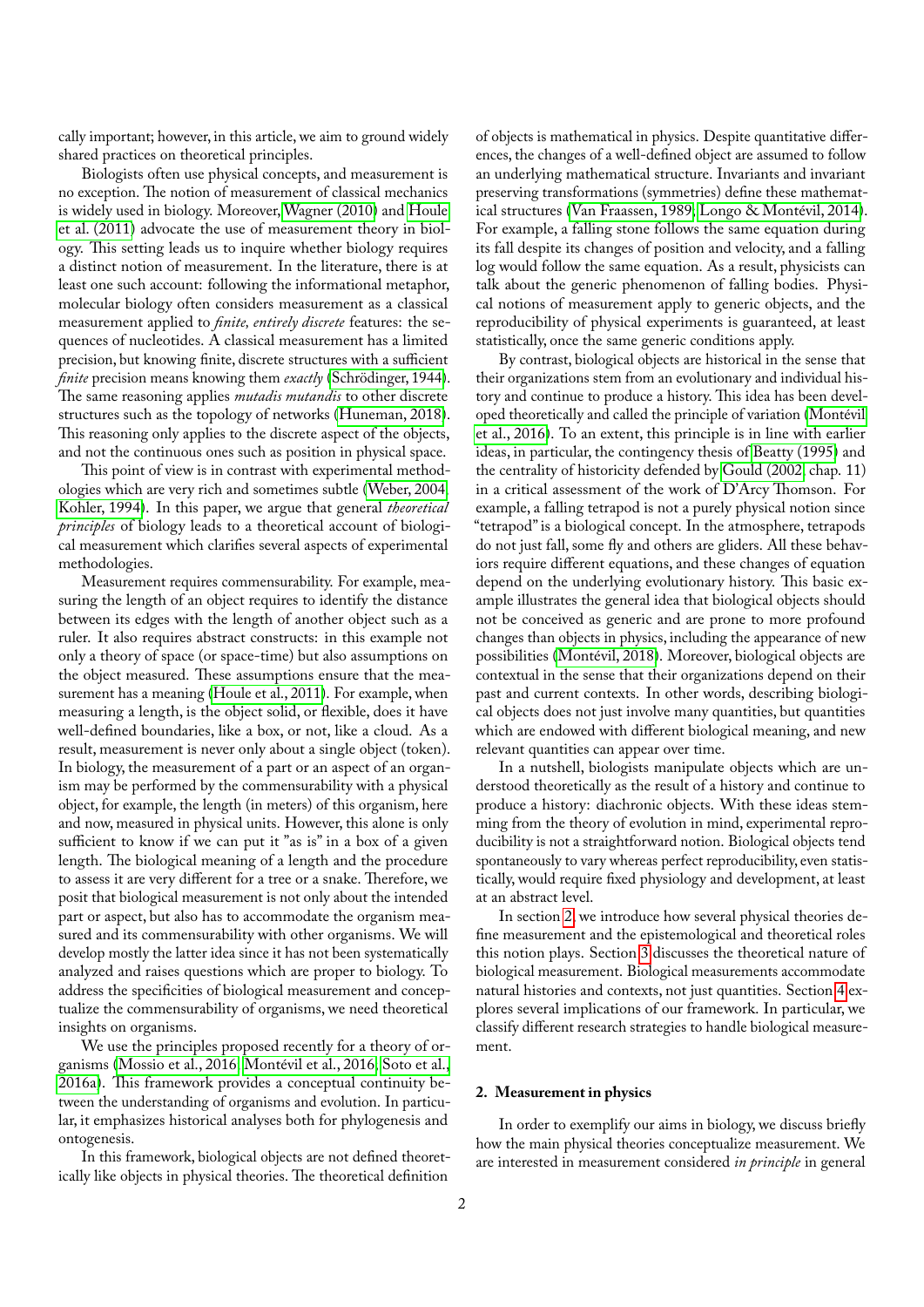cally important; however, in this article, we aim to ground widely shared practices on theoretical principles.

Biologists often use physical concepts, and measurement is no exception. The notion of measurement of classical mechanics is widely used in biology. Moreover, [Wagner \(2010\)](#page-13-2) and [Houle](#page-12-6) [et al. \(2011\)](#page-12-6) advocate the use of measurement theory in biology. This setting leads us to inquire whether biology requires a distinct notion of measurement. In the literature, there is at least one such account: following the informational metaphor, molecular biology often considers measurement as a classical measurement applied to *finite, entirely discrete* features: the sequences of nucleotides. A classical measurement has a limited precision, but knowing finite, discrete structures with a sufficient *finite* precision means knowing them *exactly* [\(Schrödinger, 1944\)](#page-13-3). The same reasoning applies *mutadis mutandis* to other discrete structures such as the topology of networks [\(Huneman, 2018\)](#page-12-7). This reasoning only applies to the discrete aspect of the objects, and not the continuous ones such as position in physical space.

This point of view is in contrast with experimental methodologies which are very rich and sometimes subtle [\(Weber, 2004;](#page-13-4) [Kohler, 1994\)](#page-12-8). In this paper, we argue that general *theoretical principles* of biology leads to a theoretical account of biological measurement which clarifies several aspects of experimental methodologies.

Measurement requires commensurability. For example, measuring the length of an object requires to identify the distance between its edges with the length of another object such as a ruler. It also requires abstract constructs: in this example not only a theory of space (or space-time) but also assumptions on the object measured. These assumptions ensure that the measurement has a meaning [\(Houle et al., 2011\)](#page-12-6). For example, when measuring a length, is the object solid, or flexible, does it have well-defined boundaries, like a box, or not, like a cloud. As a result, measurement is never only about a single object (token). In biology, the measurement of a part or an aspect of an organism may be performed by the commensurability with a physical object, for example, the length (in meters) of this organism, here and now, measured in physical units. However, this alone is only sufficient to know if we can put it "as is" in a box of a given length. The biological meaning of a length and the procedure to assess it are very different for a tree or a snake. Therefore, we posit that biological measurement is not only about the intended part or aspect, but also has to accommodate the organism measured and its commensurability with other organisms. We will develop mostly the latter idea since it has not been systematically analyzed and raises questions which are proper to biology. To address the specificities of biological measurement and conceptualize the commensurability of organisms, we need theoretical insights on organisms.

We use the principles proposed recently for a theory of organisms [\(Mossio et al., 2016;](#page-13-5) [Montévil et al., 2016;](#page-13-6) [Soto et al.,](#page-13-7) [2016a\)](#page-13-7). This framework provides a conceptual continuity between the understanding of organisms and evolution. In particular, it emphasizes historical analyses both for phylogenesis and ontogenesis.

In this framework, biological objects are not defined theoretically like objects in physical theories. The theoretical definition

of objects is mathematical in physics. Despite quantitative differences, the changes of a well-defined object are assumed to follow an underlying mathematical structure. Invariants and invariant preserving transformations (symmetries) define these mathematical structures [\(Van Fraassen, 1989;](#page-13-8) [Longo & Montévil, 2014\)](#page-12-9). For example, a falling stone follows the same equation during its fall despite its changes of position and velocity, and a falling log would follow the same equation. As a result, physicists can talk about the generic phenomenon of falling bodies. Physical notions of measurement apply to generic objects, and the reproducibility of physical experiments is guaranteed, at least statistically, once the same generic conditions apply.

By contrast, biological objects are historical in the sense that their organizations stem from an evolutionary and individual history and continue to produce a history. This idea has been developed theoretically and called the principle of variation [\(Montévil](#page-13-6) [et al., 2016\)](#page-13-6). To an extent, this principle is in line with earlier ideas, in particular, the contingency thesisof [Beatty \(1995\)](#page-12-10) and the centrality of historicity defended by [Gould \(2002,](#page-12-11) chap. 11) in a critical assessment of the work of D'Arcy Thomson. For example, a falling tetrapod is not a purely physical notion since "tetrapod" is a biological concept. In the atmosphere, tetrapods do not just fall, some fly and others are gliders. All these behaviors require different equations, and these changes of equation depend on the underlying evolutionary history. This basic example illustrates the general idea that biological objects should not be conceived as generic and are prone to more profound changes than objects in physics, including the appearance of new possibilities [\(Montévil, 2018\)](#page-13-9). Moreover, biological objects are contextual in the sense that their organizations depend on their past and current contexts. In other words, describing biological objects does not just involve many quantities, but quantities which are endowed with different biological meaning, and new relevant quantities can appear over time.

In a nutshell, biologists manipulate objects which are understood theoretically as the result of a history and continue to produce a history: diachronic objects. With these ideas stemming from the theory of evolution in mind, experimental reproducibility is not a straightforward notion. Biological objects tend spontaneously to vary whereas perfect reproducibility, even statistically, would require fixed physiology and development, at least at an abstract level.

In section [2,](#page-1-0) we introduce how several physical theories define measurement and the epistemological and theoretical roles this notion plays. Section [3](#page-2-4) discusses the theoretical nature of biological measurement. Biological measurements accommodate natural histories and contexts, not just quantities. Section [4](#page-8-1) explores several implications of our framework. In particular, we classify different research strategies to handle biological measurement.

# <span id="page-1-0"></span>**2. Measurement in physics**

In order to exemplify our aims in biology, we discuss briefly how the main physical theories conceptualize measurement. We are interested in measurement considered *in principle* in general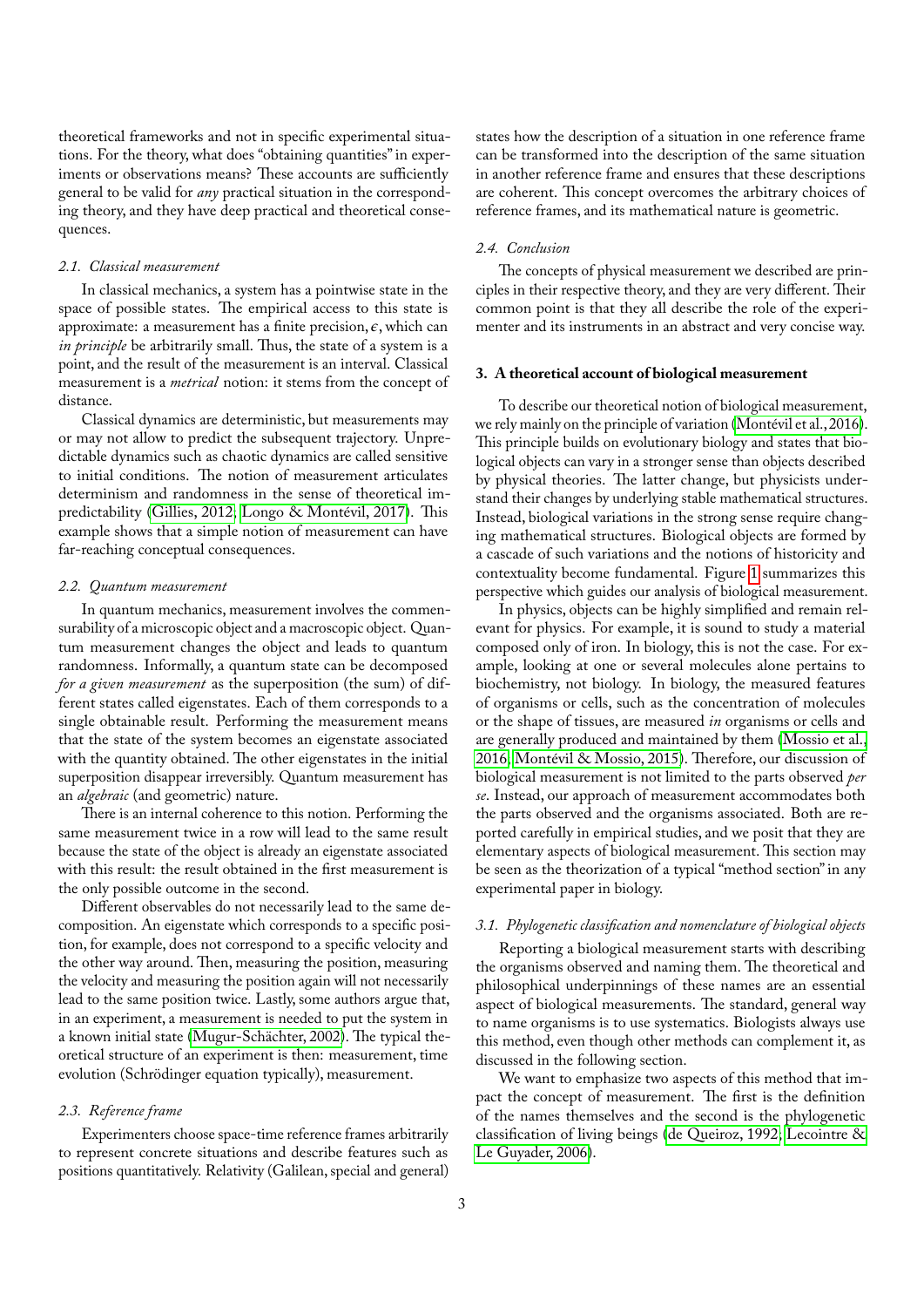theoretical frameworks and not in specific experimental situations. For the theory, what does "obtaining quantities" in experiments or observations means? These accounts are sufficiently general to be valid for *any* practical situation in the corresponding theory, and they have deep practical and theoretical consequences.

### <span id="page-2-0"></span>*2.1. Classical measurement*

In classical mechanics, a system has a pointwise state in the space of possible states. The empirical access to this state is approximate: a measurement has a finite precision,  $\epsilon$ , which can *in principle* be arbitrarily small. Thus, the state of a system is a point, and the result of the measurement is an interval. Classical measurement is a *metrical* notion: it stems from the concept of distance.

Classical dynamics are deterministic, but measurements may or may not allow to predict the subsequent trajectory. Unpredictable dynamics such as chaotic dynamics are called sensitive to initial conditions. The notion of measurement articulates determinism and randomness in the sense of theoretical impredictability [\(Gillies, 2012;](#page-12-12) [Longo & Montévil, 2017\)](#page-12-13). This example shows that a simple notion of measurement can have far-reaching conceptual consequences.

#### <span id="page-2-1"></span>*2.2. Quantum measurement*

In quantum mechanics, measurement involves the commensurability of a microscopic object and a macroscopic object. Quantum measurement changes the object and leads to quantum randomness. Informally, a quantum state can be decomposed *for a given measurement* as the superposition (the sum) of different states called eigenstates. Each of them corresponds to a single obtainable result. Performing the measurement means that the state of the system becomes an eigenstate associated with the quantity obtained. The other eigenstates in the initial superposition disappear irreversibly. Quantum measurement has an *algebraic* (and geometric) nature.

There is an internal coherence to this notion. Performing the same measurement twice in a row will lead to the same result because the state of the object is already an eigenstate associated with this result: the result obtained in the first measurement is the only possible outcome in the second.

Different observables do not necessarily lead to the same decomposition. An eigenstate which corresponds to a specific position, for example, does not correspond to a specific velocity and the other way around. Then, measuring the position, measuring the velocity and measuring the position again will not necessarily lead to the same position twice. Lastly, some authors argue that, in an experiment, a measurement is needed to put the system in a known initial state [\(Mugur-Schächter, 2002\)](#page-13-10). The typical theoretical structure of an experiment is then: measurement, time evolution (Schrödinger equation typically), measurement.

# <span id="page-2-2"></span>*2.3. Reference frame*

Experimenters choose space-time reference frames arbitrarily to represent concrete situations and describe features such as positions quantitatively. Relativity (Galilean, special and general)

states how the description of a situation in one reference frame can be transformed into the description of the same situation in another reference frame and ensures that these descriptions are coherent. This concept overcomes the arbitrary choices of reference frames, and its mathematical nature is geometric.

## <span id="page-2-3"></span>*2.4. Conclusion*

The concepts of physical measurement we described are principles in their respective theory, and they are very different. Their common point is that they all describe the role of the experimenter and its instruments in an abstract and very concise way.

## <span id="page-2-4"></span>**3. A theoretical account of biological measurement**

To describe our theoretical notion of biological measurement, we rely mainly on the principle of variation [\(Montévil et al., 2016\)](#page-13-6). This principle builds on evolutionary biology and states that biological objects can vary in a stronger sense than objects described by physical theories. The latter change, but physicists understand their changes by underlying stable mathematical structures. Instead, biological variations in the strong sense require changing mathematical structures. Biological objects are formed by a cascade of such variations and the notions of historicity and contextuality become fundamental. Figure [1](#page-3-0) summarizes this perspective which guides our analysis of biological measurement.

In physics, objects can be highly simplified and remain relevant for physics. For example, it is sound to study a material composed only of iron. In biology, this is not the case. For example, looking at one or several molecules alone pertains to biochemistry, not biology. In biology, the measured features of organisms or cells, such as the concentration of molecules or the shape of tissues, are measured *in* organisms or cells and are generally produced and maintained by them [\(Mossio et al.,](#page-13-5) [2016;](#page-13-5) [Montévil & Mossio, 2015\)](#page-13-11). Therefore, our discussion of biological measurement is not limited to the parts observed *per se*. Instead, our approach of measurement accommodates both the parts observed and the organisms associated. Both are reported carefully in empirical studies, and we posit that they are elementary aspects of biological measurement. This section may be seen as the theorization of a typical "method section" in any experimental paper in biology.

## <span id="page-2-5"></span>*3.1. Phylogenetic classification and nomenclature of biological objects*

Reporting a biological measurement starts with describing the organisms observed and naming them. The theoretical and philosophical underpinnings of these names are an essential aspect of biological measurements. The standard, general way to name organisms is to use systematics. Biologists always use this method, even though other methods can complement it, as discussed in the following section.

We want to emphasize two aspects of this method that impact the concept of measurement. The first is the definition of the names themselves and the second is the phylogenetic classification of living beings [\(de Queiroz, 1992;](#page-13-12) [Lecointre &](#page-12-14) [Le Guyader, 2006\)](#page-12-14).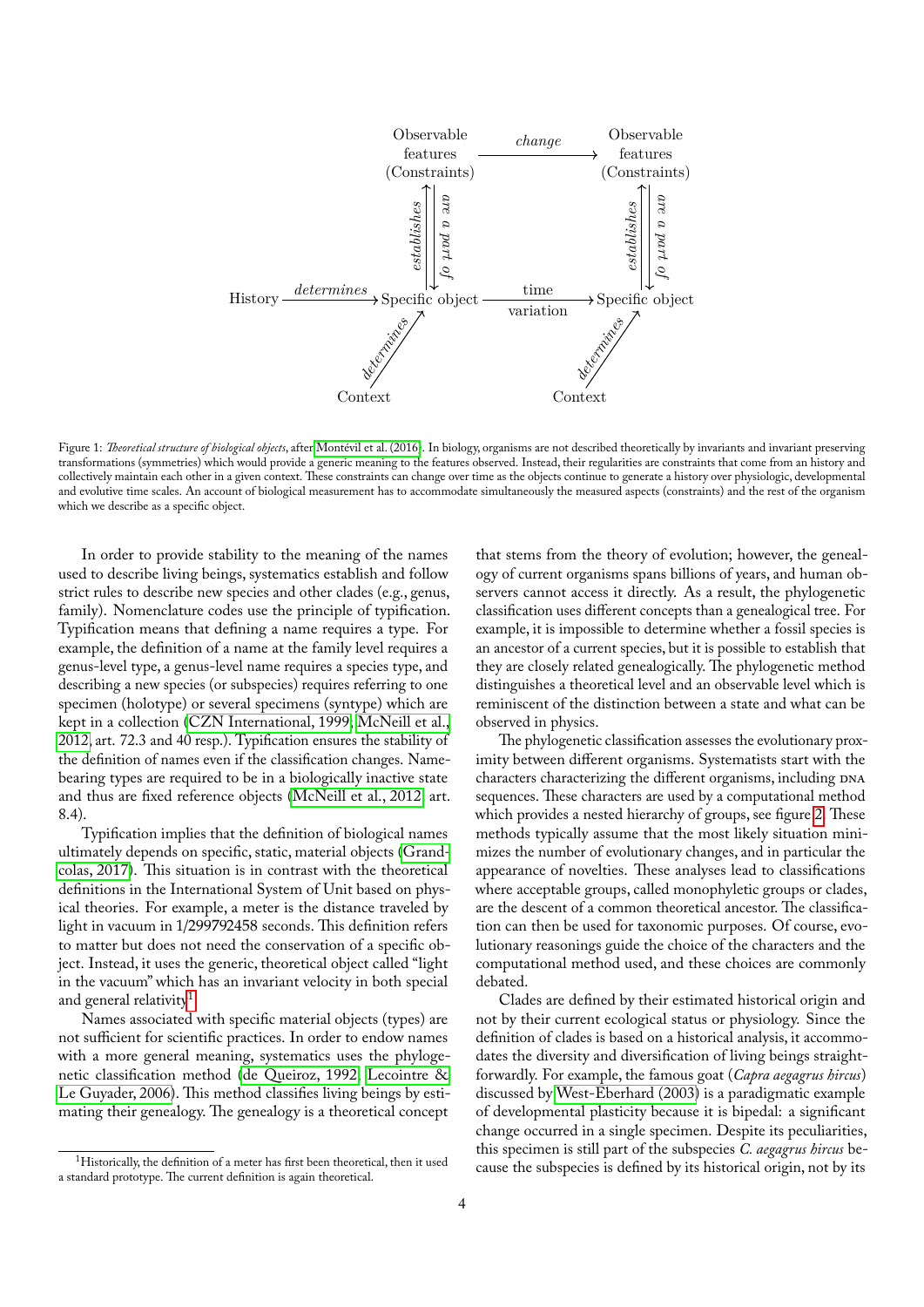

<span id="page-3-0"></span>Figure 1: *Theoretical structure of biological objects*, after [Montévil et al. \(2016\)](#page-13-6). In biology, organisms are not described theoretically by invariants and invariant preserving transformations (symmetries) which would provide a generic meaning to the features observed. Instead, their regularities are constraints that come from an history and collectively maintain each other in a given context. These constraints can change over time as the objects continue to generate a history over physiologic, developmental and evolutive time scales. An account of biological measurement has to accommodate simultaneously the measured aspects (constraints) and the rest of the organism which we describe as a specific object.

In order to provide stability to the meaning of the names used to describe living beings, systematics establish and follow strict rules to describe new species and other clades (e.g., genus, family). Nomenclature codes use the principle of typification. Typification means that defining a name requires a type. For example, the definition of a name at the family level requires a genus-level type, a genus-level name requires a species type, and describing a new species (or subspecies) requires referring to one specimen (holotype) or several specimens (syntype) which are kept in a collection [\(CZN International, 1999;](#page-12-15) [McNeill et al.,](#page-13-13) [2012,](#page-13-13) art. 72.3 and 40 resp.). Typification ensures the stability of the definition of names even if the classification changes. Namebearing types are required to be in a biologically inactive state and thus are fixed reference objects [\(McNeill et al., 2012,](#page-13-13) art. 8.4).

Typification implies that the definition of biological names ultimately depends on specific, static, material objects [\(Grand](#page-12-16)[colas, 2017\)](#page-12-16). This situation is in contrast with the theoretical definitions in the International System of Unit based on physical theories. For example, a meter is the distance traveled by light in vacuum in 1/299792458 seconds. This definition refers to matter but does not need the conservation of a specific object. Instead, it uses the generic, theoretical object called "light in the vacuum" which has an invariant velocity in both special and general relativity<sup>[1](#page-3-1)</sup>.

Names associated with specific material objects (types) are not sufficient for scientific practices. In order to endow names with a more general meaning, systematics uses the phylogenetic classification method [\(de Queiroz, 1992;](#page-13-12) [Lecointre &](#page-12-14) [Le Guyader, 2006\)](#page-12-14). This method classifies living beings by estimating their genealogy. The genealogy is a theoretical concept

that stems from the theory of evolution; however, the genealogy of current organisms spans billions of years, and human observers cannot access it directly. As a result, the phylogenetic classification uses different concepts than a genealogical tree. For example, it is impossible to determine whether a fossil species is an ancestor of a current species, but it is possible to establish that they are closely related genealogically. The phylogenetic method distinguishes a theoretical level and an observable level which is reminiscent of the distinction between a state and what can be observed in physics.

The phylogenetic classification assesses the evolutionary proximity between different organisms. Systematists start with the characters characterizing the different organisms, including DNA sequences. These characters are used by a computational method which provides a nested hierarchy of groups, see figure [2.](#page-4-1) These methods typically assume that the most likely situation minimizes the number of evolutionary changes, and in particular the appearance of novelties. These analyses lead to classifications where acceptable groups, called monophyletic groups or clades, are the descent of a common theoretical ancestor. The classification can then be used for taxonomic purposes. Of course, evolutionary reasonings guide the choice of the characters and the computational method used, and these choices are commonly debated.

Clades are defined by their estimated historical origin and not by their current ecological status or physiology. Since the definition of clades is based on a historical analysis, it accommodates the diversity and diversification of living beings straightforwardly. For example, the famous goat (*Capra aegagrus hircus*) discussed by [West-Eberhard \(2003\)](#page-13-14) is a paradigmatic example of developmental plasticity because it is bipedal: a significant change occurred in a single specimen. Despite its peculiarities, this specimen is still part of the subspecies *C. aegagrus hircus* because the subspecies is defined by its historical origin, not by its

<span id="page-3-1"></span><sup>&</sup>lt;sup>1</sup>Historically, the definition of a meter has first been theoretical, then it used a standard prototype. The current definition is again theoretical.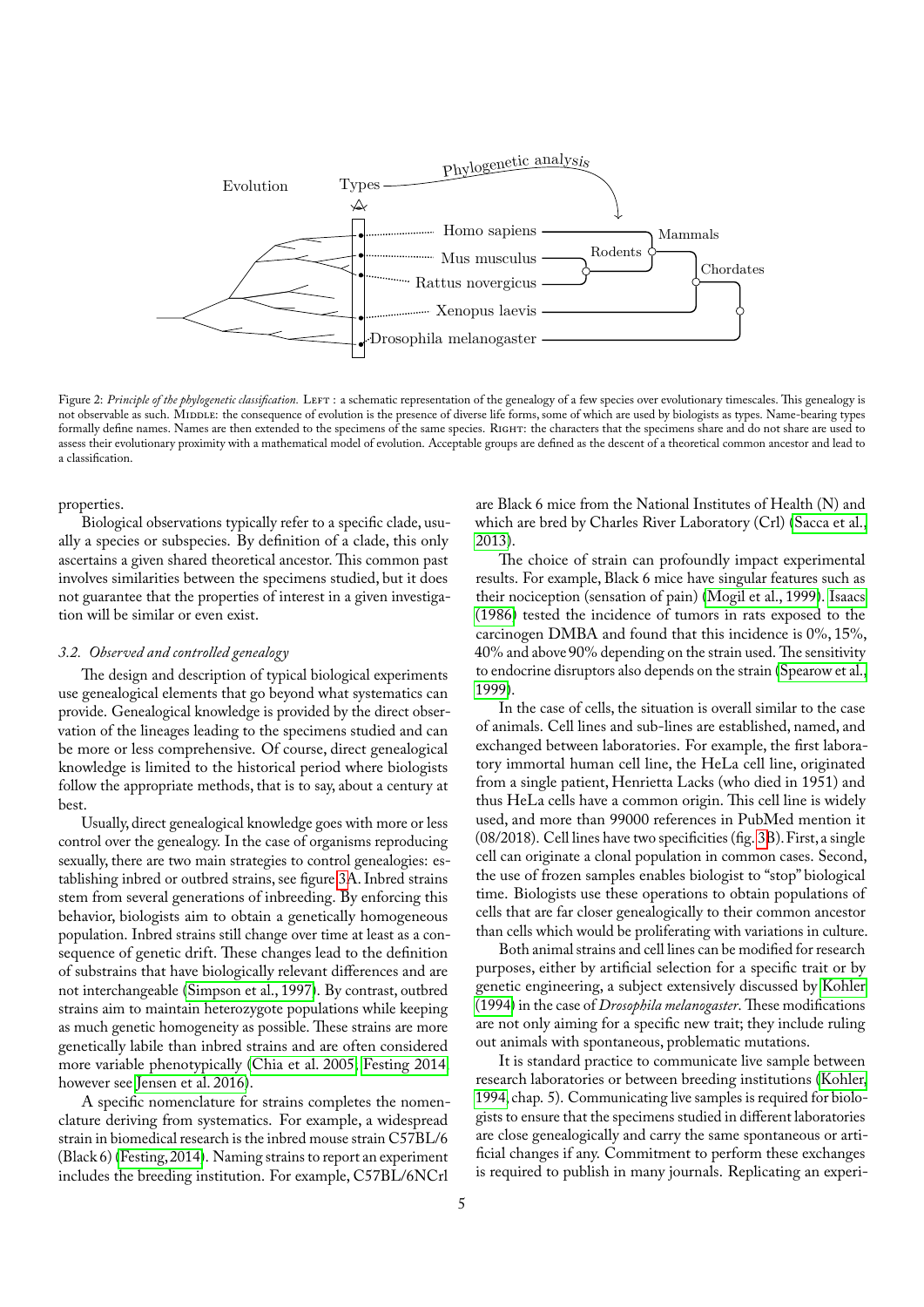

<span id="page-4-1"></span>Figure 2: Principle of the phylogenetic classification. LEFT: a schematic representation of the genealogy of a few species over evolutionary timescales. This genealogy is not observable as such. MIDDLE: the consequence of evolution is the presence of diverse life forms, some of which are used by biologists as types. Name-bearing types formally define names. Names are then extended to the specimens of the same species. RIGHT: the characters that the specimens share and do not share are used to assess their evolutionary proximity with a mathematical model of evolution. Acceptable groups are defined as the descent of a theoretical common ancestor and lead to a classification.

properties.

Biological observations typically refer to a specific clade, usually a species or subspecies. By definition of a clade, this only ascertains a given shared theoretical ancestor. This common past involves similarities between the specimens studied, but it does not guarantee that the properties of interest in a given investigation will be similar or even exist.

# <span id="page-4-0"></span>*3.2. Observed and controlled genealogy*

The design and description of typical biological experiments use genealogical elements that go beyond what systematics can provide. Genealogical knowledge is provided by the direct observation of the lineages leading to the specimens studied and can be more or less comprehensive. Of course, direct genealogical knowledge is limited to the historical period where biologists follow the appropriate methods, that is to say, about a century at best.

Usually, direct genealogical knowledge goes with more or less control over the genealogy. In the case of organisms reproducing sexually, there are two main strategies to control genealogies: establishing inbred or outbred strains, see figure [3A](#page-5-1). Inbred strains stem from several generations of inbreeding. By enforcing this behavior, biologists aim to obtain a genetically homogeneous population. Inbred strains still change over time at least as a consequence of genetic drift. These changes lead to the definition of substrains that have biologically relevant differences and are not interchangeable [\(Simpson et al., 1997\)](#page-13-15). By contrast, outbred strains aim to maintain heterozygote populations while keeping as much genetic homogeneity as possible. These strains are more genetically labile than inbred strains and are often considered more variable phenotypically [\(Chia et al. 2005;](#page-12-17) [Festing 2014,](#page-12-18) however see [Jensen et al. 2016\)](#page-12-19).

A specific nomenclature for strains completes the nomenclature deriving from systematics. For example, a widespread strain in biomedical research is the inbred mouse strain C57BL/6 (Black 6) [\(Festing, 2014\)](#page-12-18). Naming strains to report an experiment includes the breeding institution. For example, C57BL/6NCrl

are Black 6 mice from the National Institutes of Health (N) and which are bred by Charles River Laboratory (Crl) [\(Sacca et al.,](#page-13-16) [2013\)](#page-13-16).

The choice of strain can profoundly impact experimental results. For example, Black 6 mice have singular features such as their nociception (sensation of pain) [\(Mogil et al., 1999\)](#page-13-17). [Isaacs](#page-12-20) [\(1986\)](#page-12-20) tested the incidence of tumors in rats exposed to the carcinogen DMBA and found that this incidence is 0%, 15%, 40% and above 90% depending on the strain used. The sensitivity to endocrine disruptors also depends on the strain [\(Spearow et al.,](#page-13-18) [1999\)](#page-13-18).

In the case of cells, the situation is overall similar to the case of animals. Cell lines and sub-lines are established, named, and exchanged between laboratories. For example, the first laboratory immortal human cell line, the HeLa cell line, originated from a single patient, Henrietta Lacks (who died in 1951) and thus HeLa cells have a common origin. This cell line is widely used, and more than 99000 references in PubMed mention it (08/2018). Cell lines have two specificities (fig. [3B](#page-5-1)).First, a single cell can originate a clonal population in common cases. Second, the use of frozen samples enables biologist to "stop" biological time. Biologists use these operations to obtain populations of cells that are far closer genealogically to their common ancestor than cells which would be proliferating with variations in culture.

Both animal strains and cell lines can be modified for research purposes, either by artificial selection for a specific trait or by genetic engineering, a subject extensively discussed by [Kohler](#page-12-8) [\(1994\)](#page-12-8) in the case of *Drosophila melanogaster*. These modifications are not only aiming for a specific new trait; they include ruling out animals with spontaneous, problematic mutations.

It is standard practice to communicate live sample between research laboratories or between breeding institutions [\(Kohler,](#page-12-8) [1994,](#page-12-8) chap. 5). Communicating live samples is required for biologists to ensure that the specimens studied in different laboratories are close genealogically and carry the same spontaneous or artificial changes if any. Commitment to perform these exchanges is required to publish in many journals. Replicating an experi-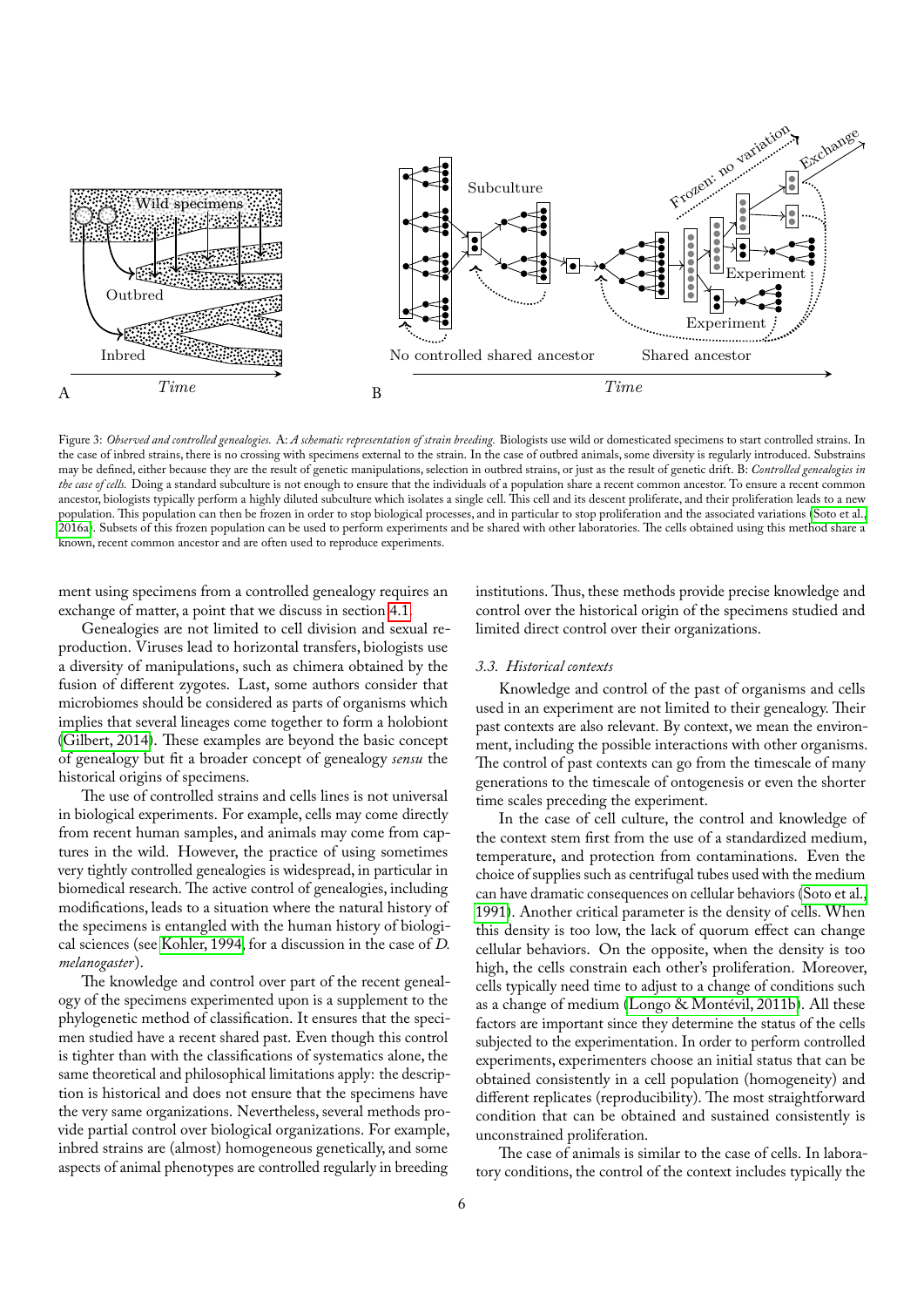

<span id="page-5-1"></span>Figure 3: *Observed and controlled genealogies.* A: *A schematic representation of strain breeding.* Biologists use wild or domesticated specimens to start controlled strains. In the case of inbred strains, there is no crossing with specimens external to the strain. In the case of outbred animals, some diversity is regularly introduced. Substrains may be defined, either because they are the result of genetic manipulations, selection in outbred strains, or just as the result of genetic drift. B: *Controlled genealogies in* the case of cells. Doing a standard subculture is not enough to ensure that the individuals of a population share a recent common ancestor. To ensure a recent common ancestor, biologists typically perform a highly diluted subculture which isolates a single cell. This cell and its descent proliferate, and their proliferation leads to a new population. This population can then be frozen in order to stop biological processes, and in particular to stop proliferation and the associated variations [\(Soto et al.,](#page-13-7) [2016a\)](#page-13-7). Subsets of this frozen population can be used to perform experiments and be shared with other laboratories. The cells obtained using this method share a known, recent common ancestor and are often used to reproduce experiments.

ment using specimens from a controlled genealogy requires an exchange of matter, a point that we discuss in section [4.1.](#page-8-2)

Genealogies are not limited to cell division and sexual reproduction. Viruses lead to horizontal transfers, biologists use a diversity of manipulations, such as chimera obtained by the fusion of different zygotes. Last, some authors consider that microbiomes should be considered as parts of organisms which implies that several lineages come together to form a holobiont [\(Gilbert, 2014\)](#page-12-21). These examples are beyond the basic concept of genealogy but fit a broader concept of genealogy *sensu* the historical origins of specimens.

The use of controlled strains and cells lines is not universal in biological experiments. For example, cells may come directly from recent human samples, and animals may come from captures in the wild. However, the practice of using sometimes very tightly controlled genealogies is widespread, in particular in biomedical research. The active control of genealogies, including modifications, leads to a situation where the natural history of the specimens is entangled with the human history of biological sciences (see [Kohler, 1994,](#page-12-8) for a discussion in the case of *D. melanogaster*).

The knowledge and control over part of the recent genealogy of the specimens experimented upon is a supplement to the phylogenetic method of classification. It ensures that the specimen studied have a recent shared past. Even though this control is tighter than with the classifications of systematics alone, the same theoretical and philosophical limitations apply: the description is historical and does not ensure that the specimens have the very same organizations. Nevertheless, several methods provide partial control over biological organizations. For example, inbred strains are (almost) homogeneous genetically, and some aspects of animal phenotypes are controlled regularly in breeding institutions. Thus, these methods provide precise knowledge and control over the historical origin of the specimens studied and limited direct control over their organizations.

## <span id="page-5-0"></span>*3.3. Historical contexts*

Knowledge and control of the past of organisms and cells used in an experiment are not limited to their genealogy. Their past contexts are also relevant. By context, we mean the environment, including the possible interactions with other organisms. The control of past contexts can go from the timescale of many generations to the timescale of ontogenesis or even the shorter time scales preceding the experiment.

In the case of cell culture, the control and knowledge of the context stem first from the use of a standardized medium, temperature, and protection from contaminations. Even the choice of supplies such as centrifugal tubes used with the medium can have dramatic consequences on cellular behaviors [\(Soto et al.,](#page-13-19) [1991\)](#page-13-19). Another critical parameter is the density of cells. When this density is too low, the lack of quorum effect can change cellular behaviors. On the opposite, when the density is too high, the cells constrain each other's proliferation. Moreover, cells typically need time to adjust to a change of conditions such as a change of medium [\(Longo & Montévil, 2011b\)](#page-12-22). All these factors are important since they determine the status of the cells subjected to the experimentation. In order to perform controlled experiments, experimenters choose an initial status that can be obtained consistently in a cell population (homogeneity) and different replicates (reproducibility). The most straightforward condition that can be obtained and sustained consistently is unconstrained proliferation.

The case of animals is similar to the case of cells. In laboratory conditions, the control of the context includes typically the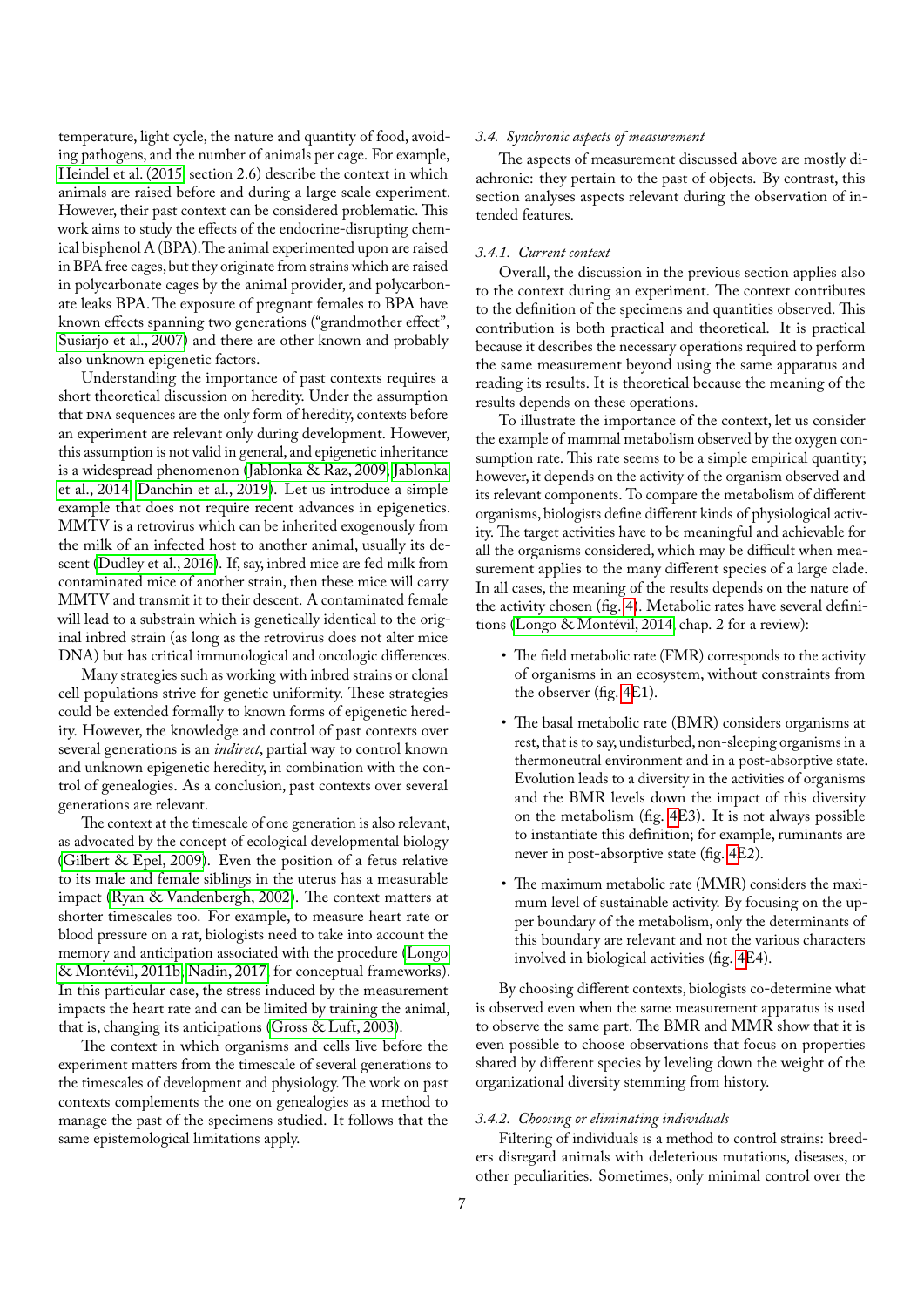temperature, light cycle, the nature and quantity of food, avoiding pathogens, and the number of animals per cage. For example, [Heindel et al. \(2015,](#page-12-23) section 2.6) describe the context in which animals are raised before and during a large scale experiment. However, their past context can be considered problematic. This work aims to study the effects of the endocrine-disrupting chemical bisphenol A (BPA).The animal experimented upon are raised in BPA free cages, but they originate from strains which are raised in polycarbonate cages by the animal provider, and polycarbonate leaks BPA.The exposure of pregnant females to BPA have known effects spanning two generations ("grandmother effect", [Susiarjo et al., 2007\)](#page-13-20) and there are other known and probably also unknown epigenetic factors.

Understanding the importance of past contexts requires a short theoretical discussion on heredity. Under the assumption that DNA sequences are the only form of heredity, contexts before an experiment are relevant only during development. However, this assumption is not valid in general, and epigenetic inheritance is a widespread phenomenon [\(Jablonka & Raz, 2009;](#page-12-24) [Jablonka](#page-12-25) [et al., 2014;](#page-12-25) [Danchin et al., 2019\)](#page-12-26). Let us introduce a simple example that does not require recent advances in epigenetics. MMTV is a retrovirus which can be inherited exogenously from the milk of an infected host to another animal, usually its descent [\(Dudley et al., 2016\)](#page-12-27). If, say, inbred mice are fed milk from contaminated mice of another strain, then these mice will carry MMTV and transmit it to their descent. A contaminated female will lead to a substrain which is genetically identical to the original inbred strain (as long as the retrovirus does not alter mice DNA) but has critical immunological and oncologic differences.

Many strategies such as working with inbred strains or clonal cell populations strive for genetic uniformity. These strategies could be extended formally to known forms of epigenetic heredity. However, the knowledge and control of past contexts over several generations is an *indirect*, partial way to control known and unknown epigenetic heredity, in combination with the control of genealogies. As a conclusion, past contexts over several generations are relevant.

The context at the timescale of one generation is also relevant, as advocated by the concept of ecological developmental biology [\(Gilbert & Epel, 2009\)](#page-12-28). Even the position of a fetus relative to its male and female siblings in the uterus has a measurable impact [\(Ryan & Vandenbergh, 2002\)](#page-13-21). The context matters at shorter timescales too. For example, to measure heart rate or blood pressure on a rat, biologists need to take into account the memory and anticipation associated with the procedure [\(Longo](#page-12-22) [& Montévil, 2011b;](#page-12-22) [Nadin, 2017,](#page-13-0) for conceptual frameworks). In this particular case, the stress induced by the measurement impacts the heart rate and can be limited by training the animal, that is, changing its anticipations [\(Gross & Luft, 2003\)](#page-12-29).

The context in which organisms and cells live before the experiment matters from the timescale of several generations to the timescales of development and physiology. The work on past contexts complements the one on genealogies as a method to manage the past of the specimens studied. It follows that the same epistemological limitations apply.

#### <span id="page-6-0"></span>*3.4. Synchronic aspects of measurement*

The aspects of measurement discussed above are mostly diachronic: they pertain to the past of objects. By contrast, this section analyses aspects relevant during the observation of intended features.

## <span id="page-6-1"></span>*3.4.1. Current context*

Overall, the discussion in the previous section applies also to the context during an experiment. The context contributes to the definition of the specimens and quantities observed. This contribution is both practical and theoretical. It is practical because it describes the necessary operations required to perform the same measurement beyond using the same apparatus and reading its results. It is theoretical because the meaning of the results depends on these operations.

To illustrate the importance of the context, let us consider the example of mammal metabolism observed by the oxygen consumption rate. This rate seems to be a simple empirical quantity; however, it depends on the activity of the organism observed and its relevant components. To compare the metabolism of different organisms, biologists define different kinds of physiological activity. The target activities have to be meaningful and achievable for all the organisms considered, which may be difficult when measurement applies to the many different species of a large clade. In all cases, the meaning of the results depends on the nature of the activity chosen (fig. [4\)](#page-7-2). Metabolic rates have several definitions [\(Longo & Montévil, 2014,](#page-12-9) chap. 2 for a review):

- The field metabolic rate (FMR) corresponds to the activity of organisms in an ecosystem, without constraints from the observer (fig. [4E](#page-7-2)1).
- The basal metabolic rate (BMR) considers organisms at rest, that is to say, undisturbed, non-sleeping organisms in a thermoneutral environment and in a post-absorptive state. Evolution leads to a diversity in the activities of organisms and the BMR levels down the impact of this diversity on the metabolism (fig. [4E](#page-7-2)3). It is not always possible to instantiate this definition; for example, ruminants are never in post-absorptive state (fig. [4E](#page-7-2)2).
- The maximum metabolic rate (MMR) considers the maximum level of sustainable activity. By focusing on the upper boundary of the metabolism, only the determinants of this boundary are relevant and not the various characters involved in biological activities (fig. [4E](#page-7-2)4).

By choosing different contexts, biologists co-determine what is observed even when the same measurement apparatus is used to observe the same part. The BMR and MMR show that it is even possible to choose observations that focus on properties shared by different species by leveling down the weight of the organizational diversity stemming from history.

## <span id="page-6-2"></span>*3.4.2. Choosing or eliminating individuals*

Filtering of individuals is a method to control strains: breeders disregard animals with deleterious mutations, diseases, or other peculiarities. Sometimes, only minimal control over the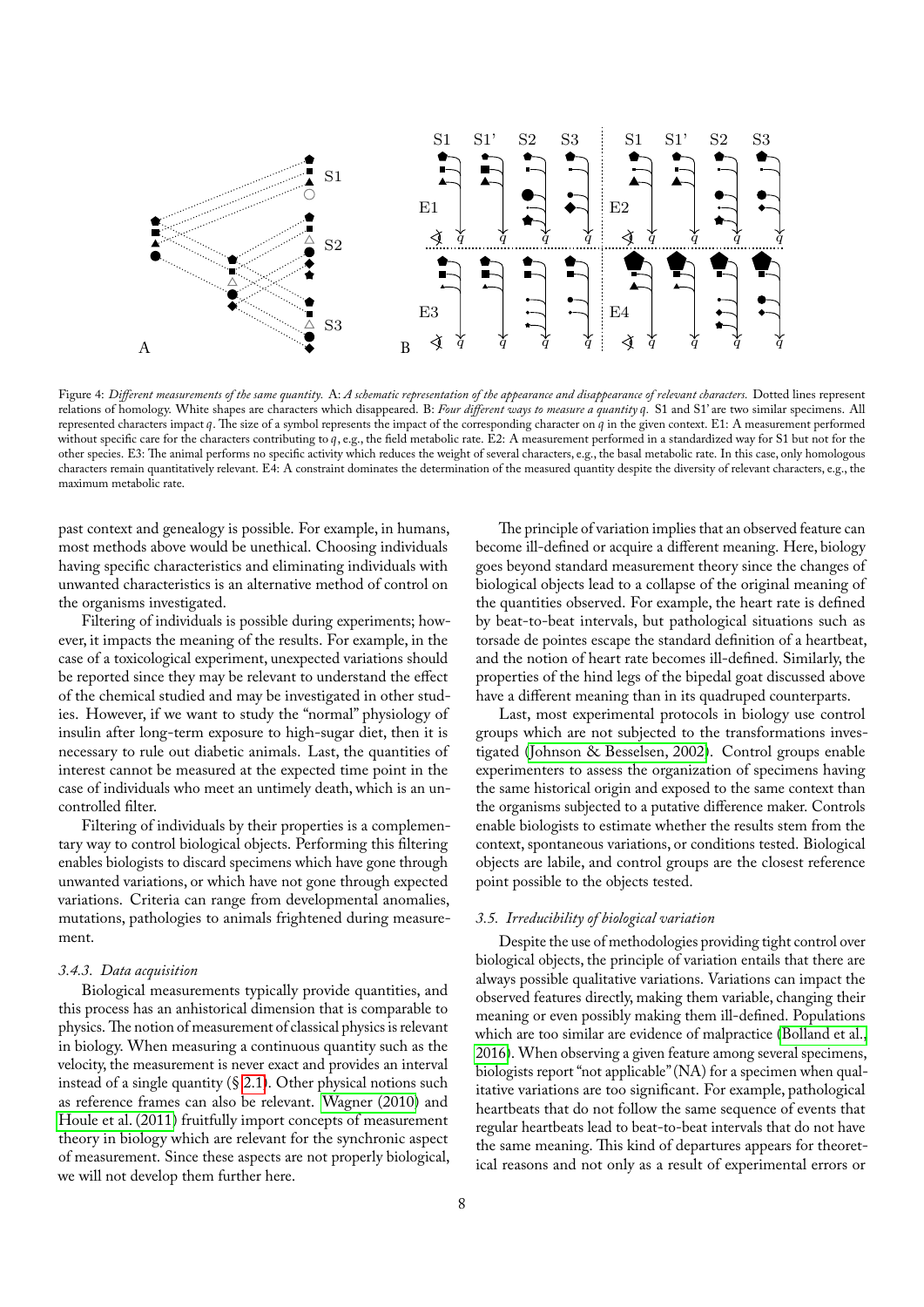

<span id="page-7-2"></span>Figure 4: *Different measurements of the same quantity.* A: *A schematic representation of the appearance and disappearance of relevant characters.* Dotted lines represent relations of homology. White shapes are characters which disappeared. B: *Four different ways to measure a quantity .* S1 and S1' are two similar specimens. All represented characters impact  $q$ . The size of a symbol represents the impact of the corresponding character on  $q$  in the given context. E1: A measurement performed without specific care for the characters contributing to  $q$ , e.g., the field metabolic rate. E2: A measurement performed in a standardized way for S1 but not for the other species. E3: The animal performs no specific activity which reduces the weight of several characters, e.g., the basal metabolic rate. In this case, only homologous characters remain quantitatively relevant. E4: A constraint dominates the determination of the measured quantity despite the diversity of relevant characters, e.g., the maximum metabolic rate.

past context and genealogy is possible. For example, in humans, most methods above would be unethical. Choosing individuals having specific characteristics and eliminating individuals with unwanted characteristics is an alternative method of control on the organisms investigated.

Filtering of individuals is possible during experiments; however, it impacts the meaning of the results. For example, in the case of a toxicological experiment, unexpected variations should be reported since they may be relevant to understand the effect of the chemical studied and may be investigated in other studies. However, if we want to study the "normal" physiology of insulin after long-term exposure to high-sugar diet, then it is necessary to rule out diabetic animals. Last, the quantities of interest cannot be measured at the expected time point in the case of individuals who meet an untimely death, which is an uncontrolled filter.

Filtering of individuals by their properties is a complementary way to control biological objects. Performing this filtering enables biologists to discard specimens which have gone through unwanted variations, or which have not gone through expected variations. Criteria can range from developmental anomalies, mutations, pathologies to animals frightened during measurement.

#### <span id="page-7-0"></span>*3.4.3. Data acquisition*

Biological measurements typically provide quantities, and this process has an anhistorical dimension that is comparable to physics. The notion of measurement of classical physics is relevant in biology. When measuring a continuous quantity such as the velocity, the measurement is never exact and provides an interval instead of a single quantity  $(\S$  [2.1\)](#page-2-0). Other physical notions such as reference frames can also be relevant. [Wagner \(2010\)](#page-13-2) and [Houle et al. \(2011\)](#page-12-6) fruitfully import concepts of measurement theory in biology which are relevant for the synchronic aspect of measurement. Since these aspects are not properly biological, we will not develop them further here.

The principle of variation implies that an observed feature can become ill-defined or acquire a different meaning. Here, biology goes beyond standard measurement theory since the changes of biological objects lead to a collapse of the original meaning of the quantities observed. For example, the heart rate is defined by beat-to-beat intervals, but pathological situations such as torsade de pointes escape the standard definition of a heartbeat, and the notion of heart rate becomes ill-defined. Similarly, the properties of the hind legs of the bipedal goat discussed above have a different meaning than in its quadruped counterparts.

Last, most experimental protocols in biology use control groups which are not subjected to the transformations investigated [\(Johnson & Besselsen, 2002\)](#page-12-30). Control groups enable experimenters to assess the organization of specimens having the same historical origin and exposed to the same context than the organisms subjected to a putative difference maker. Controls enable biologists to estimate whether the results stem from the context, spontaneous variations, or conditions tested. Biological objects are labile, and control groups are the closest reference point possible to the objects tested.

#### <span id="page-7-1"></span>*3.5. Irreducibility of biological variation*

Despite the use of methodologies providing tight control over biological objects, the principle of variation entails that there are always possible qualitative variations. Variations can impact the observed features directly, making them variable, changing their meaning or even possibly making them ill-defined. Populations which are too similar are evidence of malpractice [\(Bolland et al.,](#page-12-31) [2016\)](#page-12-31). When observing a given feature among several specimens, biologists report "not applicable" (NA) for a specimen when qualitative variations are too significant. For example, pathological heartbeats that do not follow the same sequence of events that regular heartbeats lead to beat-to-beat intervals that do not have the same meaning. This kind of departures appears for theoretical reasons and not only as a result of experimental errors or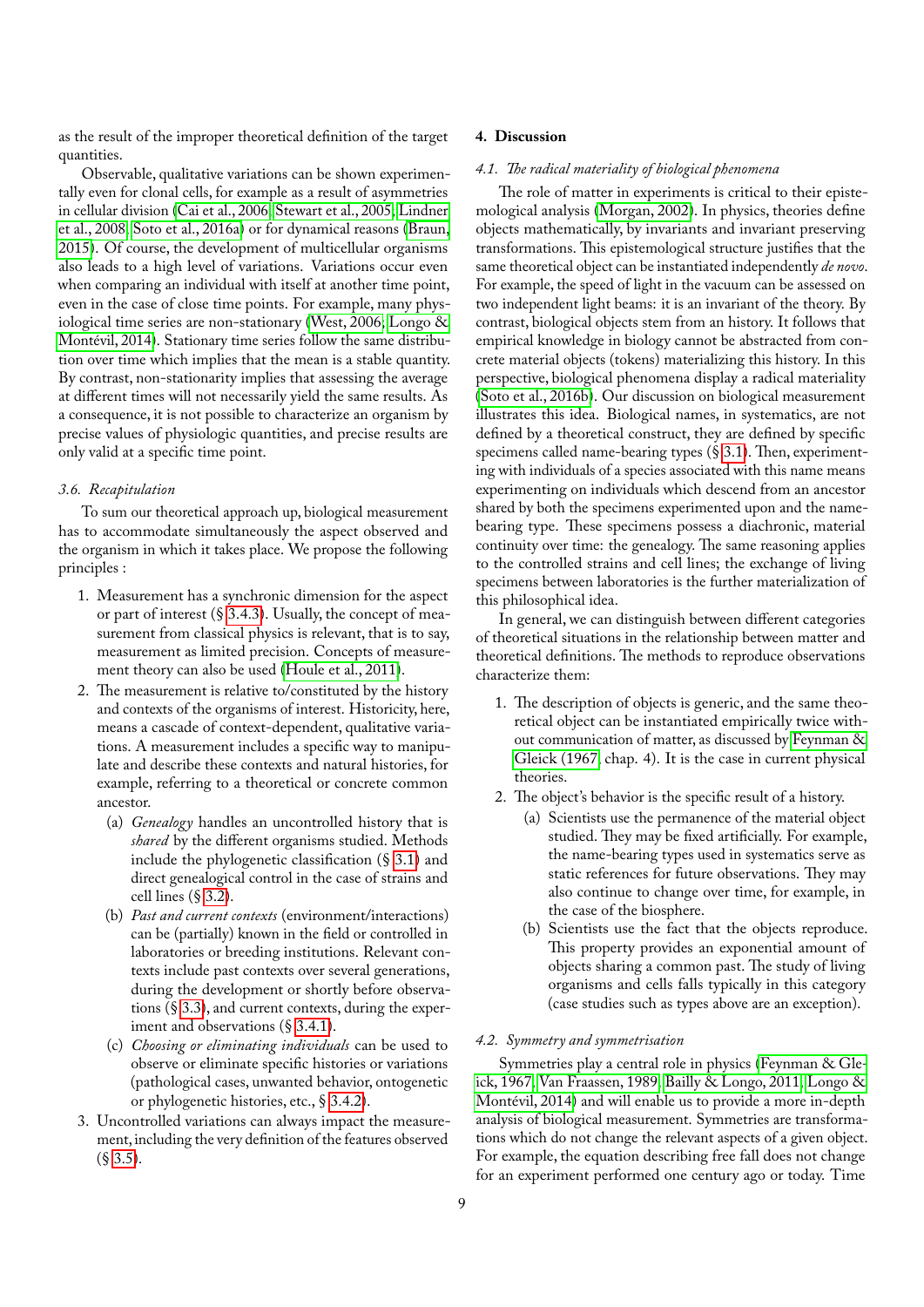as the result of the improper theoretical definition of the target quantities.

Observable, qualitative variations can be shown experimentally even for clonal cells, for example as a result of asymmetries in cellular division [\(Cai et al., 2006;](#page-12-32) [Stewart et al., 2005;](#page-13-22) [Lindner](#page-12-33) [et al., 2008;](#page-12-33) [Soto et al., 2016a\)](#page-13-7) or for dynamical reasons [\(Braun,](#page-12-34) [2015\)](#page-12-34). Of course, the development of multicellular organisms also leads to a high level of variations. Variations occur even when comparing an individual with itself at another time point, even in the case of close time points. For example, many physiological time series are non-stationary [\(West, 2006;](#page-13-23) [Longo &](#page-12-9) [Montévil, 2014\)](#page-12-9). Stationary time series follow the same distribution over time which implies that the mean is a stable quantity. By contrast, non-stationarity implies that assessing the average at different times will not necessarily yield the same results. As a consequence, it is not possible to characterize an organism by precise values of physiologic quantities, and precise results are only valid at a specific time point.

### <span id="page-8-0"></span>*3.6. Recapitulation*

To sum our theoretical approach up, biological measurement has to accommodate simultaneously the aspect observed and the organism in which it takes place. We propose the following principles :

- 1. Measurement has a synchronic dimension for the aspect or part of interest (§ [3.4.3\)](#page-7-0). Usually, the concept of measurement from classical physics is relevant, that is to say, measurement as limited precision. Concepts of measurement theory can also be used [\(Houle et al., 2011\)](#page-12-6).
- 2. The measurement is relative to/constituted by the history and contexts of the organisms of interest. Historicity, here, means a cascade of context-dependent, qualitative variations. A measurement includes a specific way to manipulate and describe these contexts and natural histories, for example, referring to a theoretical or concrete common ancestor.
	- (a) *Genealogy* handles an uncontrolled history that is *shared* by the different organisms studied. Methods include the phylogenetic classification (§ [3.1\)](#page-2-5) and direct genealogical control in the case of strains and celllines (§ [3.2\)](#page-4-0).
	- (b) *Past and current contexts* (environment/interactions) can be (partially) known in the field or controlled in laboratories or breeding institutions. Relevant contexts include past contexts over several generations, during the development or shortly before observations(§ [3.3\)](#page-5-0), and current contexts, during the experiment and observations (§ [3.4.1\)](#page-6-1).
	- (c) *Choosing or eliminating individuals* can be used to observe or eliminate specific histories or variations (pathological cases, unwanted behavior, ontogenetic or phylogenetic histories, etc.,§ [3.4.2\)](#page-6-2).
- 3. Uncontrolled variations can always impact the measurement,including the very definition of the features observed  $(S \, 3.5)$  $(S \, 3.5)$ .

## <span id="page-8-1"></span>**4. Discussion**

## <span id="page-8-2"></span>*4.1. The radical materiality of biological phenomena*

The role of matter in experiments is critical to their epistemological analysis [\(Morgan, 2002\)](#page-13-24). In physics, theories define objects mathematically, by invariants and invariant preserving transformations. This epistemological structure justifies that the same theoretical object can be instantiated independently *de novo*. For example, the speed of light in the vacuum can be assessed on two independent light beams: it is an invariant of the theory. By contrast, biological objects stem from an history. It follows that empirical knowledge in biology cannot be abstracted from concrete material objects (tokens) materializing this history. In this perspective, biological phenomena display a radical materiality [\(Soto et al., 2016b\)](#page-13-25). Our discussion on biological measurement illustrates this idea. Biological names, in systematics, are not defined by a theoretical construct, they are defined by specific specimens called name-bearing types (§ [3.1\)](#page-2-5). Then, experimenting with individuals of a species associated with this name means experimenting on individuals which descend from an ancestor shared by both the specimens experimented upon and the namebearing type. These specimens possess a diachronic, material continuity over time: the genealogy. The same reasoning applies to the controlled strains and cell lines; the exchange of living specimens between laboratories is the further materialization of this philosophical idea.

In general, we can distinguish between different categories of theoretical situations in the relationship between matter and theoretical definitions. The methods to reproduce observations characterize them:

- 1. The description of objects is generic, and the same theoretical object can be instantiated empirically twice without communication of matter, as discussed by [Feynman &](#page-12-35) [Gleick \(1967,](#page-12-35) chap. 4). It is the case in current physical theories.
- 2. The object's behavior is the specific result of a history.
	- (a) Scientists use the permanence of the material object studied. They may be fixed artificially. For example, the name-bearing types used in systematics serve as static references for future observations. They may also continue to change over time, for example, in the case of the biosphere.
	- (b) Scientists use the fact that the objects reproduce. This property provides an exponential amount of objects sharing a common past. The study of living organisms and cells falls typically in this category (case studies such as types above are an exception).

## <span id="page-8-3"></span>*4.2. Symmetry and symmetrisation*

Symmetries play a central role in physics [\(Feynman & Gle](#page-12-35)[ick, 1967;](#page-12-35) [Van Fraassen, 1989;](#page-13-8) [Bailly & Longo, 2011;](#page-12-36) [Longo &](#page-12-9) [Montévil, 2014\)](#page-12-9) and will enable us to provide a more in-depth analysis of biological measurement. Symmetries are transformations which do not change the relevant aspects of a given object. For example, the equation describing free fall does not change for an experiment performed one century ago or today. Time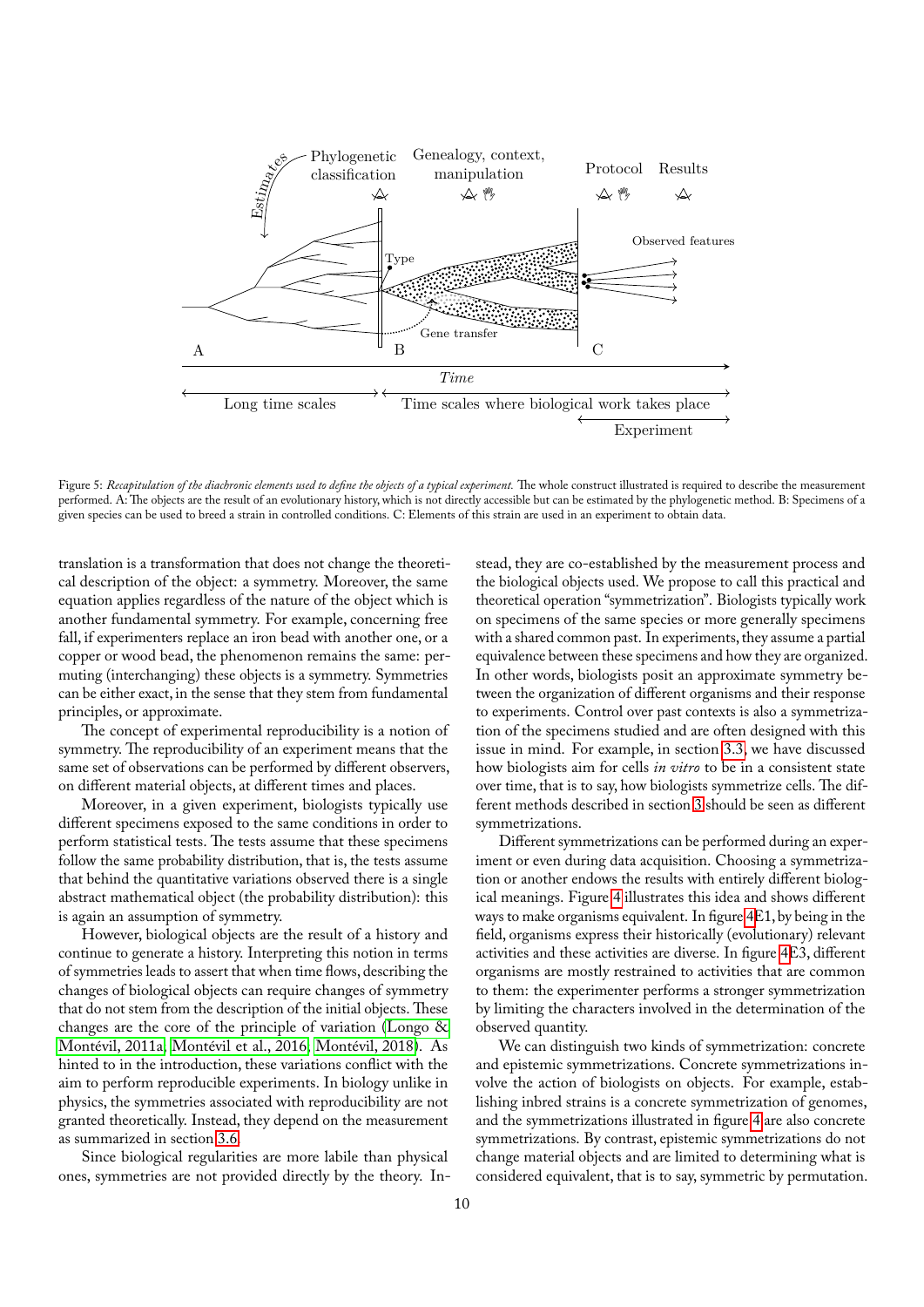

Figure 5: *Recapitulation of the diachronic elements used to define the objects of a typical experiment.* The whole construct illustrated is required to describe the measurement performed. A:The objects are the result of an evolutionary history, which is not directly accessible but can be estimated by the phylogenetic method. B: Specimens of a given species can be used to breed a strain in controlled conditions. C: Elements of this strain are used in an experiment to obtain data.

translation is a transformation that does not change the theoretical description of the object: a symmetry. Moreover, the same equation applies regardless of the nature of the object which is another fundamental symmetry. For example, concerning free fall, if experimenters replace an iron bead with another one, or a copper or wood bead, the phenomenon remains the same: permuting (interchanging) these objects is a symmetry. Symmetries can be either exact, in the sense that they stem from fundamental principles, or approximate.

The concept of experimental reproducibility is a notion of symmetry. The reproducibility of an experiment means that the same set of observations can be performed by different observers, on different material objects, at different times and places.

Moreover, in a given experiment, biologists typically use different specimens exposed to the same conditions in order to perform statistical tests. The tests assume that these specimens follow the same probability distribution, that is, the tests assume that behind the quantitative variations observed there is a single abstract mathematical object (the probability distribution): this is again an assumption of symmetry.

However, biological objects are the result of a history and continue to generate a history. Interpreting this notion in terms of symmetries leads to assert that when time flows, describing the changes of biological objects can require changes of symmetry that do not stem from the description of the initial objects. These changes are the core of the principle of variation [\(Longo &](#page-12-37) [Montévil, 2011a;](#page-12-37) [Montévil et al., 2016;](#page-13-6) [Montévil, 2018\)](#page-13-9). As hinted to in the introduction, these variations conflict with the aim to perform reproducible experiments. In biology unlike in physics, the symmetries associated with reproducibility are not granted theoretically. Instead, they depend on the measurement as summarized in section [3.6.](#page-8-0)

Since biological regularities are more labile than physical ones, symmetries are not provided directly by the theory. In-

stead, they are co-established by the measurement process and the biological objects used. We propose to call this practical and theoretical operation "symmetrization". Biologists typically work on specimens of the same species or more generally specimens with a shared common past. In experiments, they assume a partial equivalence between these specimens and how they are organized. In other words, biologists posit an approximate symmetry between the organization of different organisms and their response to experiments. Control over past contexts is also a symmetrization of the specimens studied and are often designed with this issue in mind. For example, in section [3.3,](#page-5-0) we have discussed how biologists aim for cells *in vitro* to be in a consistent state over time, that is to say, how biologists symmetrize cells. The different methods described in section [3](#page-2-4) should be seen as different symmetrizations.

Different symmetrizations can be performed during an experiment or even during data acquisition. Choosing a symmetrization or another endows the results with entirely different biological meanings. Figure [4](#page-7-2) illustrates this idea and shows different ways to make organisms equivalent. In figure [4E](#page-7-2)1, by being in the field, organisms express their historically (evolutionary) relevant activities and these activities are diverse. In figure [4E](#page-7-2)3, different organisms are mostly restrained to activities that are common to them: the experimenter performs a stronger symmetrization by limiting the characters involved in the determination of the observed quantity.

We can distinguish two kinds of symmetrization: concrete and epistemic symmetrizations. Concrete symmetrizations involve the action of biologists on objects. For example, establishing inbred strains is a concrete symmetrization of genomes, and the symmetrizations illustrated in figure [4](#page-7-2) are also concrete symmetrizations. By contrast, epistemic symmetrizations do not change material objects and are limited to determining what is considered equivalent, that is to say, symmetric by permutation.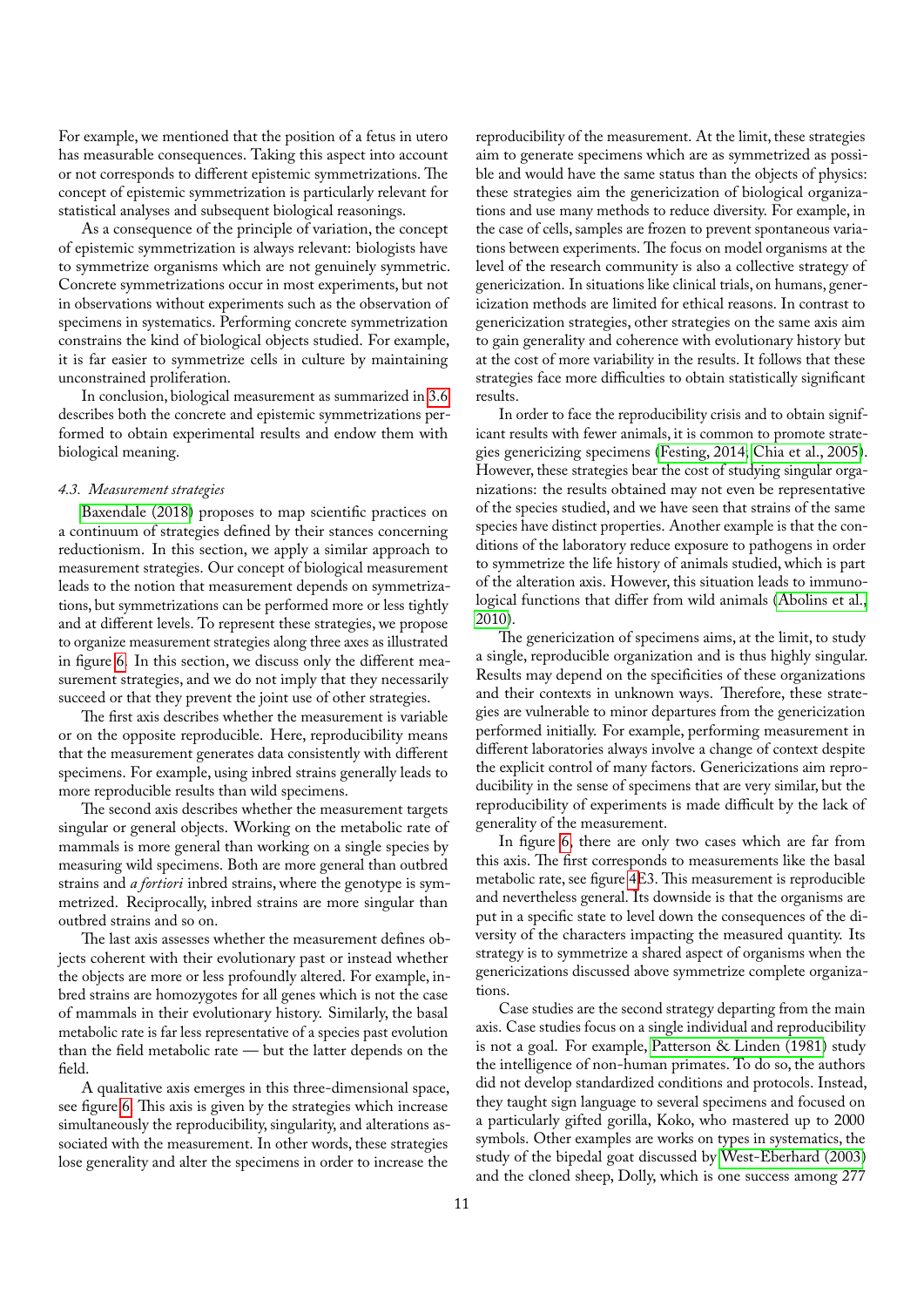For example, we mentioned that the position of a fetus in utero has measurable consequences. Taking this aspect into account or not corresponds to different epistemic symmetrizations. The concept of epistemic symmetrization is particularly relevant for statistical analyses and subsequent biological reasonings.

As a consequence of the principle of variation, the concept of epistemic symmetrization is always relevant: biologists have to symmetrize organisms which are not genuinely symmetric. Concrete symmetrizations occur in most experiments, but not in observations without experiments such as the observation of specimens in systematics. Performing concrete symmetrization constrains the kind of biological objects studied. For example, it is far easier to symmetrize cells in culture by maintaining unconstrained proliferation.

In conclusion, biological measurement as summarizedin [3.6](#page-8-0) describes both the concrete and epistemic symmetrizations performed to obtain experimental results and endow them with biological meaning.

#### <span id="page-10-0"></span>*4.3. Measurement strategies*

[Baxendale \(2018\)](#page-12-38) proposes to map scientific practices on a continuum of strategies defined by their stances concerning reductionism. In this section, we apply a similar approach to measurement strategies. Our concept of biological measurement leads to the notion that measurement depends on symmetrizations, but symmetrizations can be performed more or less tightly and at different levels. To represent these strategies, we propose to organize measurement strategies along three axes as illustrated in figure [6.](#page-11-1) In this section, we discuss only the different measurement strategies, and we do not imply that they necessarily succeed or that they prevent the joint use of other strategies.

The first axis describes whether the measurement is variable or on the opposite reproducible. Here, reproducibility means that the measurement generates data consistently with different specimens. For example, using inbred strains generally leads to more reproducible results than wild specimens.

The second axis describes whether the measurement targets singular or general objects. Working on the metabolic rate of mammals is more general than working on a single species by measuring wild specimens. Both are more general than outbred strains and *a fortiori* inbred strains, where the genotype is symmetrized. Reciprocally, inbred strains are more singular than outbred strains and so on.

The last axis assesses whether the measurement defines objects coherent with their evolutionary past or instead whether the objects are more or less profoundly altered. For example, inbred strains are homozygotes for all genes which is not the case of mammals in their evolutionary history. Similarly, the basal metabolic rate is far less representative of a species past evolution than the field metabolic rate — but the latter depends on the field.

A qualitative axis emerges in this three-dimensional space, see figure [6.](#page-11-1) This axis is given by the strategies which increase simultaneously the reproducibility, singularity, and alterations associated with the measurement. In other words, these strategies lose generality and alter the specimens in order to increase the

reproducibility of the measurement. At the limit, these strategies aim to generate specimens which are as symmetrized as possible and would have the same status than the objects of physics: these strategies aim the genericization of biological organizations and use many methods to reduce diversity. For example, in the case of cells, samples are frozen to prevent spontaneous variations between experiments. The focus on model organisms at the level of the research community is also a collective strategy of genericization. In situations like clinical trials, on humans, genericization methods are limited for ethical reasons. In contrast to genericization strategies, other strategies on the same axis aim to gain generality and coherence with evolutionary history but at the cost of more variability in the results. It follows that these strategies face more difficulties to obtain statistically significant results.

In order to face the reproducibility crisis and to obtain significant results with fewer animals, it is common to promote strategies genericizing specimens [\(Festing, 2014;](#page-12-18) [Chia et al., 2005\)](#page-12-17). However, these strategies bear the cost of studying singular organizations: the results obtained may not even be representative of the species studied, and we have seen that strains of the same species have distinct properties. Another example is that the conditions of the laboratory reduce exposure to pathogens in order to symmetrize the life history of animals studied, which is part of the alteration axis. However, this situation leads to immunological functions that differ from wild animals [\(Abolins et al.,](#page-12-39) [2010\)](#page-12-39).

The genericization of specimens aims, at the limit, to study a single, reproducible organization and is thus highly singular. Results may depend on the specificities of these organizations and their contexts in unknown ways. Therefore, these strategies are vulnerable to minor departures from the genericization performed initially. For example, performing measurement in different laboratories always involve a change of context despite the explicit control of many factors. Genericizations aim reproducibility in the sense of specimens that are very similar, but the reproducibility of experiments is made difficult by the lack of generality of the measurement.

In figure [6,](#page-11-1) there are only two cases which are far from this axis. The first corresponds to measurements like the basal metabolic rate, see figure [4E](#page-7-2)3. This measurement is reproducible and nevertheless general. Its downside is that the organisms are put in a specific state to level down the consequences of the diversity of the characters impacting the measured quantity. Its strategy is to symmetrize a shared aspect of organisms when the genericizations discussed above symmetrize complete organizations.

Case studies are the second strategy departing from the main axis. Case studies focus on a single individual and reproducibility is not a goal. For example, [Patterson & Linden \(1981\)](#page-13-26) study the intelligence of non-human primates. To do so, the authors did not develop standardized conditions and protocols. Instead, they taught sign language to several specimens and focused on a particularly gifted gorilla, Koko, who mastered up to 2000 symbols. Other examples are works on types in systematics, the study of the bipedal goat discussed by [West-Eberhard \(2003\)](#page-13-14) and the cloned sheep, Dolly, which is one success among 277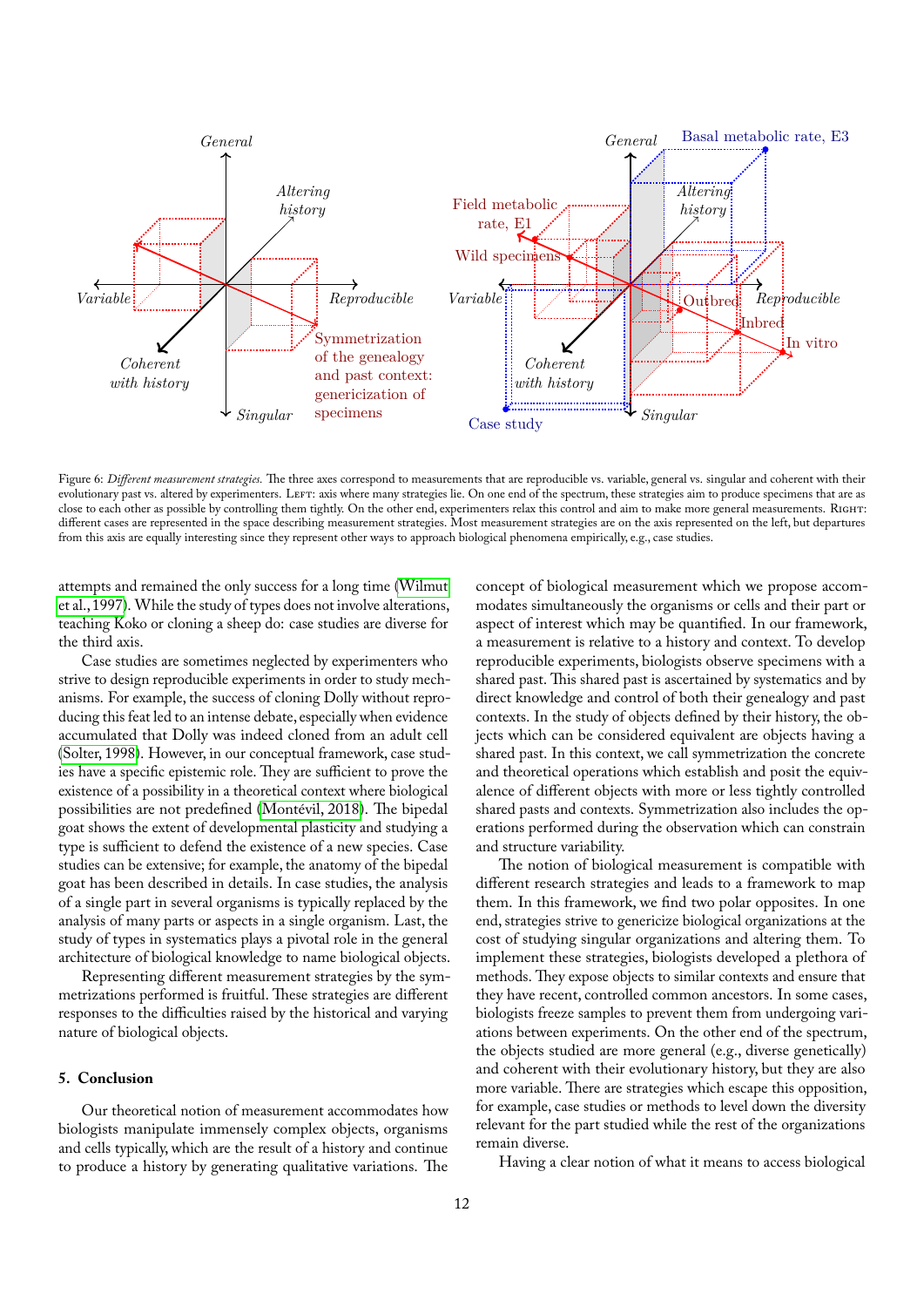

<span id="page-11-1"></span>Figure 6: *Different measurement strategies*. The three axes correspond to measurements that are reproducible vs. variable, general vs. singular and coherent with their evolutionary past vs. altered by experimenters. LEFT: axis where many strategies lie. On one end of the spectrum, these strategies aim to produce specimens that are as close to each other as possible by controlling them tightly. On the other end, experimenters relax this control and aim to make more general measurements. Right: different cases are represented in the space describing measurement strategies. Most measurement strategies are on the axis represented on the left, but departures from this axis are equally interesting since they represent other ways to approach biological phenomena empirically, e.g., case studies.

attempts and remained the only success for a long time [\(Wilmut](#page-13-27) [et al., 1997\)](#page-13-27). While the study of types does not involve alterations, teaching Koko or cloning a sheep do: case studies are diverse for the third axis.

Case studies are sometimes neglected by experimenters who strive to design reproducible experiments in order to study mechanisms. For example, the success of cloning Dolly without reproducing this feat led to an intense debate, especially when evidence accumulated that Dolly was indeed cloned from an adult cell [\(Solter, 1998\)](#page-13-28). However, in our conceptual framework, case studies have a specific epistemic role. They are sufficient to prove the existence of a possibility in a theoretical context where biological possibilities are not predefined [\(Montévil, 2018\)](#page-13-9). The bipedal goat shows the extent of developmental plasticity and studying a type is sufficient to defend the existence of a new species. Case studies can be extensive; for example, the anatomy of the bipedal goat has been described in details. In case studies, the analysis of a single part in several organisms is typically replaced by the analysis of many parts or aspects in a single organism. Last, the study of types in systematics plays a pivotal role in the general architecture of biological knowledge to name biological objects.

Representing different measurement strategies by the symmetrizations performed is fruitful. These strategies are different responses to the difficulties raised by the historical and varying nature of biological objects.

# <span id="page-11-0"></span>**5. Conclusion**

Our theoretical notion of measurement accommodates how biologists manipulate immensely complex objects, organisms and cells typically, which are the result of a history and continue to produce a history by generating qualitative variations. The

concept of biological measurement which we propose accommodates simultaneously the organisms or cells and their part or aspect of interest which may be quantified. In our framework, a measurement is relative to a history and context. To develop reproducible experiments, biologists observe specimens with a shared past. This shared past is ascertained by systematics and by direct knowledge and control of both their genealogy and past contexts. In the study of objects defined by their history, the objects which can be considered equivalent are objects having a shared past. In this context, we call symmetrization the concrete and theoretical operations which establish and posit the equivalence of different objects with more or less tightly controlled shared pasts and contexts. Symmetrization also includes the operations performed during the observation which can constrain and structure variability.

The notion of biological measurement is compatible with different research strategies and leads to a framework to map them. In this framework, we find two polar opposites. In one end, strategies strive to genericize biological organizations at the cost of studying singular organizations and altering them. To implement these strategies, biologists developed a plethora of methods. They expose objects to similar contexts and ensure that they have recent, controlled common ancestors. In some cases, biologists freeze samples to prevent them from undergoing variations between experiments. On the other end of the spectrum, the objects studied are more general (e.g., diverse genetically) and coherent with their evolutionary history, but they are also more variable. There are strategies which escape this opposition, for example, case studies or methods to level down the diversity relevant for the part studied while the rest of the organizations remain diverse.

Having a clear notion of what it means to access biological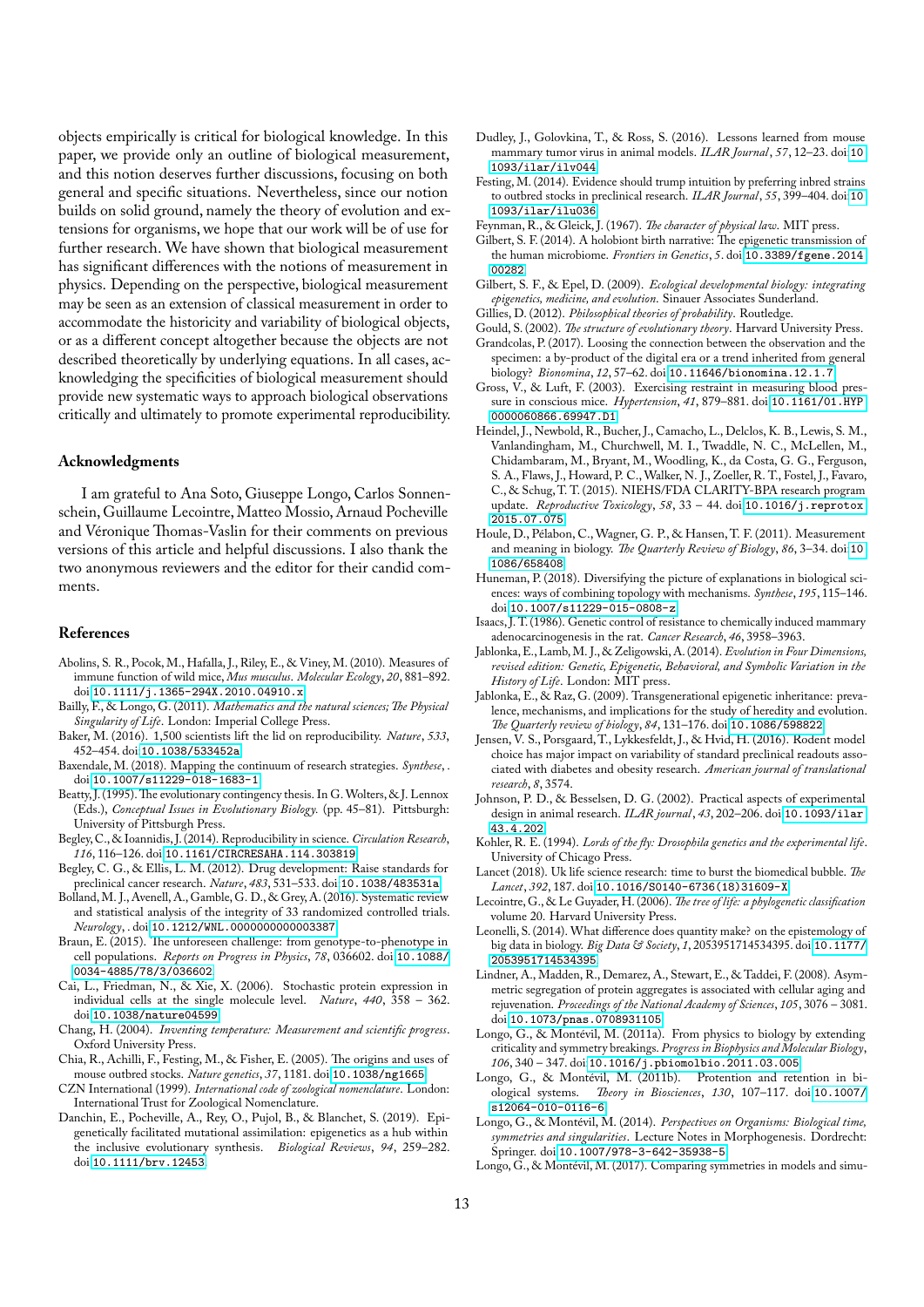objects empirically is critical for biological knowledge. In this paper, we provide only an outline of biological measurement, and this notion deserves further discussions, focusing on both general and specific situations. Nevertheless, since our notion builds on solid ground, namely the theory of evolution and extensions for organisms, we hope that our work will be of use for further research. We have shown that biological measurement has significant differences with the notions of measurement in physics. Depending on the perspective, biological measurement may be seen as an extension of classical measurement in order to accommodate the historicity and variability of biological objects, or as a different concept altogether because the objects are not described theoretically by underlying equations. In all cases, acknowledging the specificities of biological measurement should provide new systematic ways to approach biological observations critically and ultimately to promote experimental reproducibility.

## **Acknowledgments**

I am grateful to Ana Soto, Giuseppe Longo, Carlos Sonnenschein, Guillaume Lecointre, Matteo Mossio, Arnaud Pocheville and Véronique Thomas-Vaslin for their comments on previous versions of this article and helpful discussions. I also thank the two anonymous reviewers and the editor for their candid comments.

#### **References**

- <span id="page-12-39"></span>Abolins, S. R., Pocok, M., Hafalla, J., Riley, E., & Viney, M. (2010). Measures of immune function of wild mice, *Mus musculus*. *Molecular Ecology*, *20*, 881–892. doi:[10.1111/j.1365-294X.2010.04910.x](http://dx.doi.org/10.1111/j.1365-294X.2010.04910.x).
- <span id="page-12-36"></span>Bailly, F., & Longo, G. (2011). *Mathematics and the natural sciences;The Physical Singularity of Life*. London: Imperial College Press.
- <span id="page-12-1"></span>Baker, M. (2016). 1,500 scientists lift the lid on reproducibility. *Nature*, *533*, 452–454. doi:[10.1038/533452a](http://dx.doi.org/10.1038/533452a).
- <span id="page-12-38"></span>Baxendale, M. (2018). Mapping the continuum of research strategies. *Synthese*, . doi:[10.1007/s11229-018-1683-1](http://dx.doi.org/10.1007/s11229-018-1683-1).
- <span id="page-12-10"></span>Beatty, J. (1995). The evolutionary contingency thesis. In G. Wolters, & J. Lennox (Eds.), *Conceptual Issues in Evolutionary Biology.* (pp. 45–81). Pittsburgh: University of Pittsburgh Press.
- <span id="page-12-2"></span>Begley, C., & Ioannidis, J. (2014). Reproducibility in science. *Circulation Research*, *116*, 116–126. doi:[10.1161/CIRCRESAHA.114.303819](http://dx.doi.org/10.1161/CIRCRESAHA.114.303819).
- <span id="page-12-0"></span>Begley, C. G., & Ellis, L. M. (2012). Drug development: Raise standards for preclinical cancer research. *Nature*, *483*, 531–533. doi:[10.1038/483531a](http://dx.doi.org/10.1038/483531a).
- <span id="page-12-31"></span>Bolland,M. J., Avenell, A., Gamble, G. D., & Grey, A. (2016). Systematic review and statistical analysis of the integrity of 33 randomized controlled trials. *Neurology*, . doi:[10.1212/WNL.0000000000003387](http://dx.doi.org/10.1212/WNL.0000000000003387).
- <span id="page-12-34"></span>Braun, E. (2015). The unforeseen challenge: from genotype-to-phenotype in cell populations. *Reports on Progress in Physics*, *78*, 036602. doi:[10.1088/](http://dx.doi.org/10.1088/0034-4885/78/3/036602) [0034-4885/78/3/036602](http://dx.doi.org/10.1088/0034-4885/78/3/036602).
- <span id="page-12-32"></span>Cai, L., Friedman, N., & Xie, X. (2006). Stochastic protein expression in individual cells at the single molecule level. *Nature*, *440*, 358 – 362. doi:[10.1038/nature04599](http://dx.doi.org/10.1038/nature04599).
- <span id="page-12-5"></span>Chang, H. (2004). *Inventing temperature: Measurement and scientific progress*. Oxford University Press.
- <span id="page-12-17"></span>Chia, R., Achilli, F., Festing, M., & Fisher, E. (2005). The origins and uses of mouse outbred stocks. *Nature genetics*, *37*, 1181. doi:[10.1038/ng1665](http://dx.doi.org/10.1038/ng1665).
- <span id="page-12-15"></span>CZN International (1999). *International code of zoological nomenclature*. London: International Trust for Zoological Nomenclature.
- <span id="page-12-26"></span>Danchin, E., Pocheville, A., Rey, O., Pujol, B., & Blanchet, S. (2019). Epigenetically facilitated mutational assimilation: epigenetics as a hub within the inclusive evolutionary synthesis. *Biological Reviews*, *94*, 259–282. doi:[10.1111/brv.12453](http://dx.doi.org/10.1111/brv.12453).
- <span id="page-12-27"></span>Dudley, J., Golovkina, T., & Ross, S. (2016). Lessons learned from mouse mammary tumor virus in animal models. *ILAR Journal*, *57*, 12–23. doi:[10.](http://dx.doi.org/10.1093/ilar/ilv044) [1093/ilar/ilv044](http://dx.doi.org/10.1093/ilar/ilv044).
- <span id="page-12-18"></span>Festing, M. (2014). Evidence should trump intuition by preferring inbred strains to outbred stocks in preclinical research. *ILAR Journal*, *55*, 399–404. doi:[10.](http://dx.doi.org/10.1093/ilar/ilu036) [1093/ilar/ilu036](http://dx.doi.org/10.1093/ilar/ilu036).
- <span id="page-12-35"></span>Feynman, R., & Gleick, J. (1967). *The character of physical law*. MIT press.
- <span id="page-12-21"></span>Gilbert, S. F. (2014). A holobiont birth narrative: The epigenetic transmission of the human microbiome. *Frontiers in Genetics*, *5*. doi:[10.3389/fgene.2014.](http://dx.doi.org/10.3389/fgene.2014.00282) [00282](http://dx.doi.org/10.3389/fgene.2014.00282).
- <span id="page-12-28"></span>Gilbert, S. F., & Epel, D. (2009). *Ecological developmental biology: integrating epigenetics, medicine, and evolution*. Sinauer Associates Sunderland.
- <span id="page-12-12"></span>Gillies, D. (2012). *Philosophical theories of probability*. Routledge.
- <span id="page-12-16"></span><span id="page-12-11"></span>Gould, S. (2002). *The structure of evolutionary theory*. Harvard University Press. Grandcolas, P. (2017). Loosing the connection between the observation and the specimen: a by-product of the digital era or a trend inherited from general biology? *Bionomina*, *12*, 57–62. doi:[10.11646/bionomina.12.1.7](http://dx.doi.org/10.11646/bionomina.12.1.7).
- <span id="page-12-29"></span>Gross, V., & Luft, F. (2003). Exercising restraint in measuring blood pressure in conscious mice. *Hypertension*, *41*, 879–881. doi:[10.1161/01.HYP.](http://dx.doi.org/10.1161/01.HYP.0000060866.69947.D1) [0000060866.69947.D1](http://dx.doi.org/10.1161/01.HYP.0000060866.69947.D1).
- <span id="page-12-23"></span>Heindel, J., Newbold, R., Bucher, J., Camacho, L., Delclos, K. B., Lewis, S. M., Vanlandingham, M., Churchwell, M. I., Twaddle, N. C., McLellen, M., Chidambaram, M., Bryant, M., Woodling, K., da Costa, G. G., Ferguson, S. A., Flaws, J., Howard, P. C.,Walker, N. J., Zoeller, R. T., Fostel, J., Favaro, C., & Schug, T. T. (2015). NIEHS/FDA CLARITY-BPA research program update. *Reproductive Toxicology*, *58*, 33 – 44. doi:[10.1016/j.reprotox.](http://dx.doi.org/10.1016/j.reprotox.2015.07.075) [2015.07.075](http://dx.doi.org/10.1016/j.reprotox.2015.07.075).
- <span id="page-12-6"></span>Houle, D., Pélabon, C.,Wagner, G. P., & Hansen, T. F. (2011). Measurement and meaning in biology. *The Quarterly Review of Biology*, *86*, 3–34. doi:[10.](http://dx.doi.org/10.1086/658408) [1086/658408](http://dx.doi.org/10.1086/658408).
- <span id="page-12-7"></span>Huneman, P. (2018). Diversifying the picture of explanations in biological sciences: ways of combining topology with mechanisms. *Synthese*, *195*, 115–146. doi:[10.1007/s11229-015-0808-z](http://dx.doi.org/10.1007/s11229-015-0808-z).
- <span id="page-12-20"></span>Isaacs, J. T. (1986). Genetic control of resistance to chemically induced mammary adenocarcinogenesis in the rat. *Cancer Research*, *46*, 3958–3963.
- <span id="page-12-25"></span>Jablonka, E., Lamb,M. J., & Zeligowski, A. (2014). *Evolution in Four Dimensions, revised edition: Genetic, Epigenetic, Behavioral, and Symbolic Variation in the History of Life*. London: MIT press.
- <span id="page-12-24"></span>Jablonka, E., & Raz, G. (2009). Transgenerational epigenetic inheritance: prevalence, mechanisms, and implications for the study of heredity and evolution. *The Quarterly review of biology*, *84*, 131–176. doi:[10.1086/598822](http://dx.doi.org/10.1086/598822).
- <span id="page-12-19"></span>Jensen, V. S., Porsgaard, T., Lykkesfeldt, J., & Hvid, H. (2016). Rodent model choice has major impact on variability of standard preclinical readouts associated with diabetes and obesity research. *American journal of translational research*, *8*, 3574.
- <span id="page-12-30"></span>Johnson, P. D., & Besselsen, D. G. (2002). Practical aspects of experimental design in animal research. *ILAR journal*, *43*, 202–206. doi:[10.1093/ilar.](http://dx.doi.org/10.1093/ilar.43.4.202) [43.4.202](http://dx.doi.org/10.1093/ilar.43.4.202).
- <span id="page-12-8"></span>Kohler, R. E. (1994). *Lords of the fly: Drosophila genetics and the experimental life*. University of Chicago Press.
- <span id="page-12-3"></span>Lancet (2018). Uk life science research: time to burst the biomedical bubble. *The Lancet*, *392*, 187. doi:[10.1016/S0140-6736\(18\)31609-X](http://dx.doi.org/10.1016/S0140-6736(18)31609-X).
- <span id="page-12-14"></span>Lecointre, G., & Le Guyader, H. (2006). *The tree of life: a phylogenetic classification* volume 20. Harvard University Press.
- <span id="page-12-4"></span>Leonelli, S. (2014). What difference does quantity make? on the epistemology of big data in biology. *Big Data & Society*, *1*, 2053951714534395. doi:[10.1177/](http://dx.doi.org/10.1177/2053951714534395) [2053951714534395](http://dx.doi.org/10.1177/2053951714534395).
- <span id="page-12-33"></span>Lindner, A., Madden, R., Demarez, A., Stewart, E., & Taddei, F. (2008). Asymmetric segregation of protein aggregates is associated with cellular aging and rejuvenation. *Proceedings of the National Academy of Sciences*, *105*, 3076 – 3081. doi:[10.1073/pnas.0708931105](http://dx.doi.org/10.1073/pnas.0708931105).
- <span id="page-12-37"></span>Longo, G., & Montévil, M. (2011a). From physics to biology by extending criticality and symmetry breakings. *Progress in Biophysics and Molecular Biology*, *106*, 340 – 347. doi:[10.1016/j.pbiomolbio.2011.03.005](http://dx.doi.org/10.1016/j.pbiomolbio.2011.03.005).
- <span id="page-12-22"></span>Longo, G., & Montévil, M. (2011b). Protention and retention in biological systems. *Theory in Biosciences*, *130*, 107–117. doi:[10.1007/](http://dx.doi.org/10.1007/s12064-010-0116-6) [s12064-010-0116-6](http://dx.doi.org/10.1007/s12064-010-0116-6).
- <span id="page-12-9"></span>Longo, G., & Montévil, M. (2014). *Perspectives on Organisms: Biological time, symmetries and singularities*. Lecture Notes in Morphogenesis. Dordrecht: Springer. doi:[10.1007/978-3-642-35938-5](http://dx.doi.org/10.1007/978-3-642-35938-5).
- <span id="page-12-13"></span>Longo, G., & Montévil, M. (2017). Comparing symmetries in models and simu-